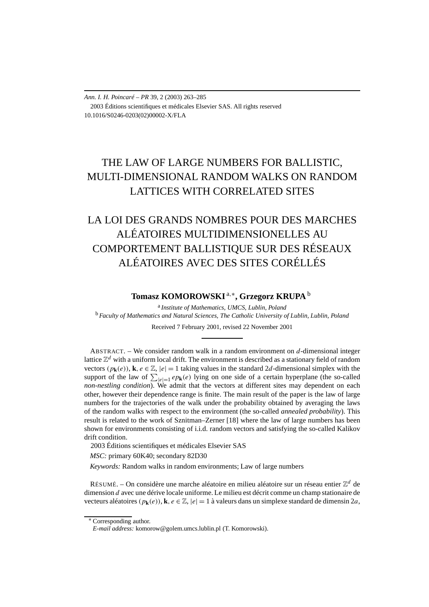*Ann. I. H. Poincaré – PR* 39, 2 (2003) 263–285 2003 Éditions scientifiques et médicales Elsevier SAS. All rights reserved 10.1016/S0246-0203(02)00002-X/FLA

## THE LAW OF LARGE NUMBERS FOR BALLISTIC, MULTI-DIMENSIONAL RANDOM WALKS ON RANDOM LATTICES WITH CORRELATED SITES

# LA LOI DES GRANDS NOMBRES POUR DES MARCHES ALÉATOIRES MULTIDIMENSIONELLES AU COMPORTEMENT BALLISTIQUE SUR DES RÉSEAUX ALÉATOIRES AVEC DES SITES CORÉLLÉS

### **Tomasz KOMOROWSKI** <sup>a</sup>*,*∗**, Grzegorz KRUPA** <sup>b</sup>

<sup>a</sup> *Institute of Mathematics, UMCS, Lublin, Poland* <sup>b</sup> *Faculty of Mathematics and Natural Sciences, The Catholic University of Lublin, Lublin, Poland*

Received 7 February 2001, revised 22 November 2001

ABSTRACT. – We consider random walk in a random environment on *d*-dimensional integer lattice  $\mathbb{Z}^d$  with a uniform local drift. The environment is described as a stationary field of random vectors  $(p_k(e))$ ,  $k, e \in \mathbb{Z}$ ,  $|e|=1$  taking values in the standard 2*d*-dimensional simplex with the support of the law of  $\sum_{|e|=1} ep_{\mathbf{k}}(e)$  lying on one side of a certain hyperplane (the so-called *non-nestling condition*). We admit that the vectors at different sites may dependent on each other, however their dependence range is finite. The main result of the paper is the law of large numbers for the trajectories of the walk under the probability obtained by averaging the laws of the random walks with respect to the environment (the so-called *annealed probability*). This result is related to the work of Sznitman–Zerner [18] where the law of large numbers has been shown for environments consisting of i.i.d. random vectors and satisfying the so-called Kalikov drift condition.

2003 Éditions scientifiques et médicales Elsevier SAS

*MSC:* primary 60K40; secondary 82D30

*Keywords:* Random walks in random environments; Law of large numbers

RÉSUMÉ. – On considère une marche aléatoire en milieu aléatoire sur un réseau entier Z*<sup>d</sup>* de dimension *d* avec une dérive locale uniforme. Le milieu est décrit comme un champ stationaire de vecteurs aléatoires  $(p_k(e))$ ,  $\mathbf{k}, e \in \mathbb{Z}$ ,  $|e|=1$  à valeurs dans un simplexe standard de dimensin  $2a$ ,

<sup>∗</sup> Corresponding author.

*E-mail address:* komorow@golem.umcs.lublin.pl (T. Komorowski).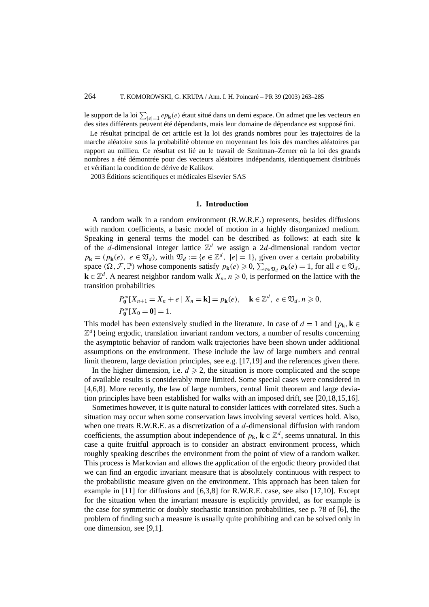le support de la loi <sup>|</sup>*e*|=<sup>1</sup> *ep***k***(e)* étaut situé dans un demi espace. On admet que les vecteurs en des sites différents peuvent été dépendants, mais leur domaine de dépendance est supposé fini.

Le résultat principal de cet article est la loi des grands nombres pour les trajectoires de la marche aléatoire sous la probabilité obtenue en moyennant les lois des marches aléatoires par rapport au millieu. Ce résultat est lié au le travail de Sznitman–Zerner où la loi des grands nombres a été démontrée pour des vecteurs aléatoires indépendants, identiquement distribués et vérifiant la condition de dérive de Kalikov.

2003 Éditions scientifiques et médicales Elsevier SAS

#### **1. Introduction**

A random walk in a random environment (R.W.R.E.) represents, besides diffusions with random coefficients, a basic model of motion in a highly disorganized medium. Speaking in general terms the model can be described as follows: at each site **k** of the *d*-dimensional integer lattice  $\mathbb{Z}^d$  we assign a 2*d*-dimensional random vector  $p_{\mathbf{k}} = (p_{\mathbf{k}}(e), e \in \mathfrak{V}_d)$ , with  $\mathfrak{V}_d := \{e \in \mathbb{Z}^d, |e| = 1\}$ , given over a certain probability space  $(\Omega, \mathcal{F}, \mathbb{P})$  whose components satisfy  $p_{\mathbf{k}}(e) \ge 0$ ,  $\sum_{e \in \mathfrak{V}_d} p_{\mathbf{k}}(e) = 1$ , for all  $e \in \mathfrak{V}_d$ , **k** ∈  $\mathbb{Z}^d$ . A nearest neighbor random walk  $X_n$ ,  $n \ge 0$ , is performed on the lattice with the transition probabilities

$$
P_0^{\omega}[X_{n+1} = X_n + e \mid X_n = \mathbf{k}] = p_{\mathbf{k}}(e), \quad \mathbf{k} \in \mathbb{Z}^d, \ e \in \mathfrak{V}_d, n \ge 0,
$$
  

$$
P_0^{\omega}[X_0 = 0] = 1.
$$

This model has been extensively studied in the literature. In case of  $d = 1$  and  $\{p_k, k \in \mathbb{R}\}$  $\mathbb{Z}^d$  being ergodic, translation invariant random vectors, a number of results concerning the asymptotic behavior of random walk trajectories have been shown under additional assumptions on the environment. These include the law of large numbers and central limit theorem, large deviation principles, see e.g. [17,19] and the references given there.

In the higher dimension, i.e.  $d \geq 2$ , the situation is more complicated and the scope of available results is considerably more limited. Some special cases were considered in [4,6,8]. More recently, the law of large numbers, central limit theorem and large deviation principles have been established for walks with an imposed drift, see [20,18,15,16].

Sometimes however, it is quite natural to consider lattices with correlated sites. Such a situation may occur when some conservation laws involving several vertices hold. Also, when one treats R.W.R.E. as a discretization of a *d*-dimensional diffusion with random coefficients, the assumption about independence of  $p_k$ ,  $k \in \mathbb{Z}^d$ , seems unnatural. In this case a quite fruitful approach is to consider an abstract environment process, which roughly speaking describes the environment from the point of view of a random walker. This process is Markovian and allows the application of the ergodic theory provided that we can find an ergodic invariant measure that is absolutely continuous with respect to the probabilistic measure given on the environment. This approach has been taken for example in [11] for diffusions and [6,3,8] for R.W.R.E. case, see also [17,10]. Except for the situation when the invariant measure is explicitly provided, as for example is the case for symmetric or doubly stochastic transition probabilities, see p. 78 of [6], the problem of finding such a measure is usually quite prohibiting and can be solved only in one dimension, see [9,1].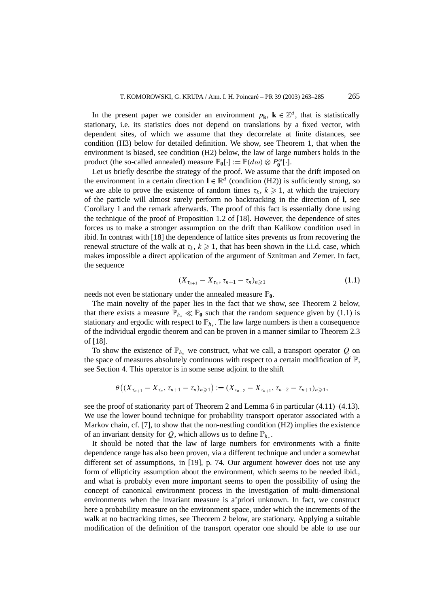In the present paper we consider an environment  $p_k$ ,  $k \in \mathbb{Z}^d$ , that is statistically stationary, i.e. its statistics does not depend on translations by a fixed vector, with dependent sites, of which we assume that they decorrelate at finite distances, see condition (H3) below for detailed definition. We show, see Theorem 1, that when the environment is biased, see condition (H2) below, the law of large numbers holds in the product (the so-called annealed) measure  $\mathbb{P}_{0}[\cdot] := \mathbb{P}(d\omega) \otimes P_{0}^{\omega}[\cdot]$ .

Let us briefly describe the strategy of the proof. We assume that the drift imposed on the environment in a certain direction  $\mathbf{l} \in \mathbb{R}^d$  (condition (H2)) is sufficiently strong, so we are able to prove the existence of random times  $\tau_k$ ,  $k \geq 1$ , at which the trajectory of the particle will almost surely perform no backtracking in the direction of **l**, see Corollary 1 and the remark afterwards. The proof of this fact is essentially done using the technique of the proof of Proposition 1.2 of [18]. However, the dependence of sites forces us to make a stronger assumption on the drift than Kalikow condition used in ibid. In contrast with [18] the dependence of lattice sites prevents us from recovering the renewal structure of the walk at  $\tau_k$ ,  $k \ge 1$ , that has been shown in the i.i.d. case, which makes impossible a direct application of the argument of Sznitman and Zerner. In fact, the sequence

$$
(X_{\tau_{n+1}} - X_{\tau_n}, \tau_{n+1} - \tau_n)_{n \geq 1} \tag{1.1}
$$

needs not even be stationary under the annealed measure  $\mathbb{P}_{\mathbf{0}}$ .

The main novelty of the paper lies in the fact that we show, see Theorem 2 below, that there exists a measure  $\mathbb{P}_{h_*} \ll \mathbb{P}_{0}$  such that the random sequence given by (1.1) is stationary and ergodic with respect to  $\mathbb{P}_{h_*}$ . The law large numbers is then a consequence of the individual ergodic theorem and can be proven in a manner similar to Theorem 2.3 of [18].

To show the existence of  $\mathbb{P}_{h}$  we construct, what we call, a transport operator *Q* on the space of measures absolutely continuous with respect to a certain modification of  $\mathbb{P}$ , see Section 4. This operator is in some sense adjoint to the shift

$$
\theta\big((X_{\tau_{n+1}}-X_{\tau_n},\tau_{n+1}-\tau_n)_{n\geqslant 1}\big):=(X_{\tau_{n+2}}-X_{\tau_{n+1}},\tau_{n+2}-\tau_{n+1})_{n\geqslant 1},
$$

see the proof of stationarity part of Theorem 2 and Lemma 6 in particular (4.11)–(4.13). We use the lower bound technique for probability transport operator associated with a Markov chain, cf. [7], to show that the non-nestling condition (H2) implies the existence of an invariant density for *Q*, which allows us to define  $\mathbb{P}_{h_*}$ .

It should be noted that the law of large numbers for environments with a finite dependence range has also been proven, via a different technique and under a somewhat different set of assumptions, in [19], p. 74. Our argument however does not use any form of ellipticity assumption about the environment, which seems to be needed ibid., and what is probably even more important seems to open the possibility of using the concept of canonical environment process in the investigation of multi-dimensional environments when the invariant measure is a'priori unknown. In fact, we construct here a probability measure on the environment space, under which the increments of the walk at no bactracking times, see Theorem 2 below, are stationary. Applying a suitable modification of the definition of the transport operator one should be able to use our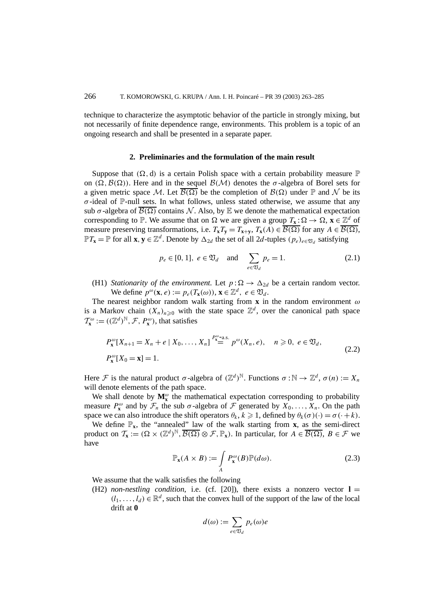technique to characterize the asymptotic behavior of the particle in strongly mixing, but not necessarily of finite dependence range, environments. This problem is a topic of an ongoing research and shall be presented in a separate paper.

#### **2. Preliminaries and the formulation of the main result**

Suppose that  $(\Omega, d)$  is a certain Polish space with a certain probability measure  $\mathbb P$ on  $(\Omega, \mathcal{B}(\Omega))$ . Here and in the sequel  $\mathcal{B}(\mathcal{M})$  denotes the *σ*-algebra of Borel sets for a given metric space M. Let  $\overline{\mathcal{B}(\Omega)}$  be the completion of  $\mathcal{B}(\Omega)$  under  $\mathbb P$  and N be its  $\sigma$ -ideal of P-null sets. In what follows, unless stated otherwise, we assume that any sub  $\sigma$ -algebra of  $\overline{\mathcal{B}(\Omega)}$  contains N. Also, by E we denote the mathematical expectation corresponding to P. We assume that on  $\Omega$  we are given a group  $T_x : \Omega \to \Omega$ ,  $x \in \mathbb{Z}^d$  of measure preserving transformations, i.e.  $T_{\mathbf{x}}T_{\mathbf{y}} = T_{\mathbf{x}+\mathbf{y}}, T_{\mathbf{x}}(A) \in \overline{\mathcal{B}(\Omega)}$  for any  $A \in \overline{\mathcal{B}(\Omega)}$ ,  $\mathbb{P}T$ **x** =  $\mathbb{P}$  for all **x***,* **y** ∈  $\mathbb{Z}^d$ . Denote by  $\Delta_{2d}$  the set of all 2*d*-tuples  $(p_e)_{e \in \mathfrak{V}_d}$  satisfying

$$
p_e \in [0, 1], e \in \mathfrak{V}_d \quad \text{and} \quad \sum_{e \in \mathfrak{V}_d} p_e = 1. \tag{2.1}
$$

(H1) *Stationarity of the environment.* Let  $p : \Omega \to \Delta_{2d}$  be a certain random vector. We define  $p^{\omega}(\mathbf{x}, e) := p_e(T_{\mathbf{x}}(\omega))$ ,  $\mathbf{x} \in \mathbb{Z}^d$ ,  $e \in \mathfrak{V}_d$ .

The nearest neighbor random walk starting from **x** in the random environment *ω* is a Markov chain  $(X_n)_{n\geq 0}$  with the state space  $\mathbb{Z}^d$ , over the canonical path space  $\mathcal{T}_{\mathbf{x}}^{\omega} := ((\mathbb{Z}^d)^{\mathbb{N}}, \mathcal{F}, P_{\mathbf{x}}^{\omega})$ , that satisfies

$$
P_{\mathbf{x}}^{\omega}[X_{n+1} = X_n + e \mid X_0, \dots, X_n] \stackrel{P_{\mathbf{x}}^{\omega} - a.s.}{=} p^{\omega}(X_n, e), \quad n \ge 0, \ e \in \mathfrak{V}_d,
$$
  

$$
P_{\mathbf{x}}^{\omega}[X_0 = \mathbf{x}] = 1.
$$
 (2.2)

Here F is the natural product  $\sigma$ -algebra of  $(\mathbb{Z}^d)^{\mathbb{N}}$ . Functions  $\sigma : \mathbb{N} \to \mathbb{Z}^d$ ,  $\sigma(n) := X_n$ will denote elements of the path space.

We shall denote by  $M_x^{\omega}$  the mathematical expectation corresponding to probability measure  $P_x^{\omega}$  and by  $\mathcal{F}_n$  the sub  $\sigma$ -algebra of  $\mathcal{F}$  generated by  $X_0, \ldots, X_n$ . On the path space we can also introduce the shift operators  $\theta_k$ ,  $k \ge 1$ , defined by  $\theta_k(\sigma)(\cdot) = \sigma(\cdot + k)$ .

We define  $\mathbb{P}_x$ , the "annealed" law of the walk starting from **x**, as the semi-direct product on  $\mathcal{T}_x := (\Omega \times (\mathbb{Z}^d)^{\mathbb{N}}, \overline{\mathcal{B}(\Omega)} \otimes \mathcal{F}, \mathbb{P}_x)$ . In particular, for  $A \in \overline{\mathcal{B}(\Omega)}$ ,  $B \in \mathcal{F}$  we have

$$
\mathbb{P}_{\mathbf{x}}(A \times B) := \int\limits_{A} P_{\mathbf{x}}^{\omega}(B) \mathbb{P}(d\omega).
$$
 (2.3)

We assume that the walk satisfies the following

(H2) *non-nestling condition*, i.e. (cf. [20]), there exists a nonzero vector  $\mathbf{l} =$  $(l_1, \ldots, l_d) \in \mathbb{R}^d$ , such that the convex hull of the support of the law of the local drift at **0**

$$
d(\omega) := \sum_{e \in \mathfrak{V}_d} p_e(\omega) e
$$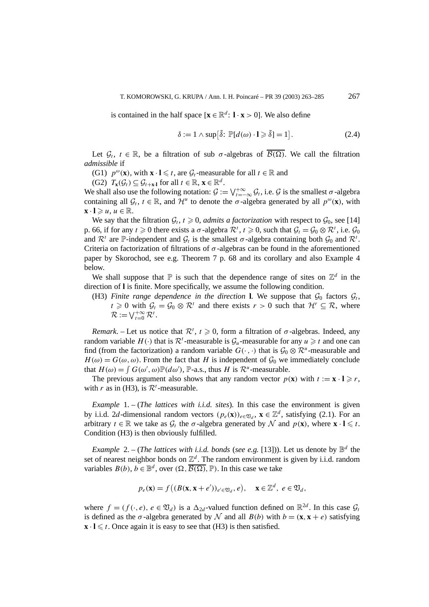is contained in the half space  $[\mathbf{x} \in \mathbb{R}^d : \mathbf{1} \cdot \mathbf{x} > 0]$ . We also define

$$
\delta := 1 \wedge \sup[\tilde{\delta} : \mathbb{P}[d(\omega) \cdot \mathbf{l} \ge \tilde{\delta}] = 1]. \tag{2.4}
$$

Let  $\mathcal{G}_t$ ,  $t \in \mathbb{R}$ , be a filtration of sub  $\sigma$ -algebras of  $\overline{\mathcal{B}(\Omega)}$ . We call the filtration *admissible* if

(G1)  $p^{\omega}(\mathbf{x})$ , with  $\mathbf{x} \cdot \mathbf{l} \leq t$ , are  $\mathcal{G}_t$ -measurable for all  $t \in \mathbb{R}$  and

(G2)  $T_{\mathbf{x}}(\mathcal{G}_t) \subseteq \mathcal{G}_{t+\mathbf{x}\cdot\mathbf{l}}$  for all  $t \in \mathbb{R}, \mathbf{x} \in \mathbb{R}^d$ .

We shall also use the following notation:  $G := \bigvee_{t=-\infty}^{+\infty} G_t$ , i.e. G is the smallest  $\sigma$ -algebra containing all  $\mathcal{G}_t$ ,  $t \in \mathbb{R}$ , and  $\mathcal{H}^u$  to denote the *σ*-algebra generated by all  $p^\omega(\mathbf{x})$ , with  $\mathbf{x} \cdot \mathbf{l} \geq u, u \in \mathbb{R}$ .

We say that the filtration  $\mathcal{G}_t$ ,  $t \geq 0$ , *admits a factorization* with respect to  $\mathcal{G}_0$ , see [14] p. 66, if for any  $t \ge 0$  there exists a  $\sigma$ -algebra  $\mathcal{R}^t$ ,  $t \ge 0$ , such that  $\mathcal{G}_t = \mathcal{G}_0 \otimes \mathcal{R}^t$ , i.e.  $\mathcal{G}_0$ and  $\mathcal{R}^t$  are  $\mathbb{P}$ -independent and  $\mathcal{G}_t$  is the smallest  $\sigma$ -algebra containing both  $\mathcal{G}_0$  and  $\mathcal{R}^t$ . Criteria on factorization of filtrations of  $\sigma$ -algebras can be found in the aforementioned paper by Skorochod, see e.g. Theorem 7 p. 68 and its corollary and also Example 4 below.

We shall suppose that  $\mathbb P$  is such that the dependence range of sites on  $\mathbb Z^d$  in the direction of **l** is finite. More specifically, we assume the following condition.

(H3) *Finite range dependence in the direction* **l**. We suppose that  $\mathcal{G}_0$  factors  $\mathcal{G}_t$ , *t* ≥ 0 with  $\mathcal{G}_t = \mathcal{G}_0 \otimes \mathcal{R}^t$  and there exists  $r > 0$  such that  $\mathcal{H}^r \subseteq \mathcal{R}$ , where  $\mathcal{R} := \bigvee_{t=0}^{+\infty} \mathcal{R}^t.$ 

*Remark*. – Let us notice that  $\mathcal{R}^t$ ,  $t \ge 0$ , form a filtration of *σ*-algebras. Indeed, any random variable  $H(\cdot)$  that is  $\mathcal{R}^t$ -measurable is  $\mathcal{G}_u$ -measurable for any  $u \geq t$  and one can find (from the factorization) a random variable  $G(\cdot, \cdot)$  that is  $\mathcal{G}_0 \otimes \mathcal{R}^u$ -measurable and  $H(\omega) = G(\omega, \omega)$ . From the fact that *H* is independent of  $G_0$  we immediately conclude that  $H(\omega) = \int G(\omega', \omega) \mathbb{P}(d\omega')$ ,  $\mathbb{P}\text{-a.s., thus } H$  is  $\mathcal{R}^u$ -measurable.

The previous argument also shows that any random vector  $p(\mathbf{x})$  with  $t := \mathbf{x} \cdot \mathbf{l} \ge r$ , with *r* as in (H3), is  $\mathcal{R}^t$ -measurable.

*Example* 1. – (*The lattices with i.i.d. sites*). In this case the environment is given by i.i.d. 2*d*-dimensional random vectors  $(p_e(\mathbf{x}))_{e \in \mathfrak{V}_d}$ ,  $\mathbf{x} \in \mathbb{Z}^d$ , satisfying (2.1). For an arbitrary  $t \in \mathbb{R}$  we take as  $\mathcal{G}_t$  the  $\sigma$ -algebra generated by  $\mathcal{N}$  and  $p(\mathbf{x})$ , where  $\mathbf{x} \cdot \mathbf{l} \leq t$ . Condition (H3) is then obviously fulfilled.

*Example* 2. – (*The lattices with i.i.d. bonds (see e.g.* [13])). Let us denote by  $\mathbb{B}^d$  the set of nearest neighbor bonds on  $\mathbb{Z}^d$ . The random environment is given by i.i.d. random variables  $B(b)$ ,  $b \in \mathbb{B}^d$ , over  $(\Omega, \overline{B(\Omega)}, \mathbb{P})$ . In this case we take

$$
p_e(\mathbf{x}) = f\big((B(\mathbf{x}, \mathbf{x} + e'))_{e' \in \mathfrak{V}_d}, e\big), \quad \mathbf{x} \in \mathbb{Z}^d, \ e \in \mathfrak{V}_d,
$$

where  $f = (f(\cdot, e), e \in \mathfrak{V}_d)$  is a  $\Delta_{2d}$ -valued function defined on  $\mathbb{R}^{2d}$ . In this case  $\mathcal{G}_t$ is defined as the  $\sigma$ -algebra generated by N and all  $B(b)$  with  $b = (\mathbf{x}, \mathbf{x} + e)$  satisfying  $\mathbf{x} \cdot \mathbf{l} \leq t$ . Once again it is easy to see that (H3) is then satisfied.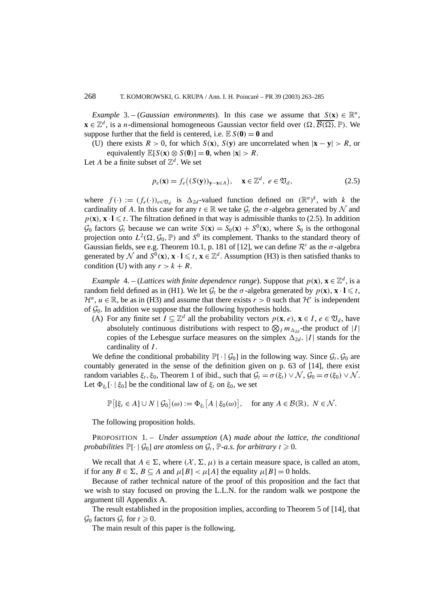#### 268 T. KOMOROWSKI, G. KRUPA / Ann. I. H. Poincaré – PR 39 (2003) 263–285

*Example* 3. – (*Gaussian environments*). In this case we assume that  $S(\mathbf{x}) \in \mathbb{R}^n$ , **x** ∈  $\mathbb{Z}^d$ , is a *n*-dimensional homogeneous Gaussian vector field over  $(\Omega, \overline{B(\Omega)}, \mathbb{P})$ . We suppose further that the field is centered, i.e.  $\mathbb{E} S(\mathbf{0}) = \mathbf{0}$  and

(U) there exists  $R > 0$ , for which  $S(\mathbf{x})$ ,  $S(\mathbf{y})$  are uncorrelated when  $|\mathbf{x} - \mathbf{y}| > R$ , or equivalently  $\mathbb{E}[S(\mathbf{x}) \otimes S(\mathbf{0})] = \mathbf{0}$ , when  $|\mathbf{x}| > R$ .

Let *A* be a finite subset of  $\mathbb{Z}^d$ . We set

$$
p_e(\mathbf{x}) = f_e((S(\mathbf{y}))_{\mathbf{y}-\mathbf{x}\in A}), \quad \mathbf{x}\in \mathbb{Z}^d, \ e\in \mathfrak{V}_d,\tag{2.5}
$$

where  $f(\cdot) := (f_e(\cdot))_{e \in \mathfrak{V}_d}$  is  $\Delta_{2d}$ -valued function defined on  $(\mathbb{R}^n)^k$ , with *k* the cardinality of *A*. In this case for any  $t \in \mathbb{R}$  we take  $\mathcal{G}_t$  the  $\sigma$ -algebra generated by  $\mathcal N$  and  $p(\mathbf{x})$ ,  $\mathbf{x} \cdot \mathbf{l} \leq t$ . The filtration defined in that way is admissible thanks to (2.5). In addition  $\mathcal{G}_0$  factors  $\mathcal{G}_t$  because we can write  $S(\mathbf{x}) = S_0(\mathbf{x}) + S^0(\mathbf{x})$ , where  $S_0$  is the orthogonal projection onto  $L^2(\Omega, \mathcal{G}_0, \mathbb{P})$  and  $S^0$  its complement. Thanks to the standard theory of Gaussian fields, see e.g. Theorem 10.1, p. 181 of [12], we can define  $\mathcal{R}^t$  as the  $\sigma$ -algebra generated by  $\mathcal N$  and  $S^0(\mathbf x)$ ,  $\mathbf x \cdot \mathbf l \leq t$ ,  $\mathbf x \in \mathbb Z^d$ . Assumption (H3) is then satisfied thanks to condition (U) with any  $r > k + R$ .

*Example* 4. – (*Lattices with finite dependence range*). Suppose that  $p(\mathbf{x}), \mathbf{x} \in \mathbb{Z}^d$ , is a random field defined as in (H1). We let  $\mathcal{G}_t$  be the  $\sigma$ -algebra generated by  $p(\mathbf{x}), \mathbf{x} \cdot \mathbf{l} \leq t$ ,  $\mathcal{H}^u$ ,  $u \in \mathbb{R}$ , be as in (H3) and assume that there exists  $r > 0$  such that  $\mathcal{H}^r$  is independent of  $\mathcal{G}_0$ . In addition we suppose that the following hypothesis holds.

(A) For any finite set  $I \subseteq \mathbb{Z}^d$  all the probability vectors  $p(\mathbf{x}, e)$ ,  $\mathbf{x} \in I$ ,  $e \in \mathfrak{V}_d$ , have absolutely continuous distributions with respect to  $\mathcal{D}_I m_{\Delta_{2d}}$ -the product of |*I*| copies of the Lebesgue surface measures on the simplex  $\Delta_{2d}$ . |*I*| stands for the cardinality of *I* .

We define the conditional probability  $\mathbb{P}[\cdot | \mathcal{G}_0]$  in the following way. Since  $\mathcal{G}_t$ ,  $\mathcal{G}_0$  are countably generated in the sense of the definition given on p. 63 of [14], there exist random variables  $\xi_t$ ,  $\xi_0$ , Theorem 1 of ibid., such that  $\mathcal{G}_t = \sigma(\xi_t) \vee \mathcal{N}$ ,  $\mathcal{G}_0 = \sigma(\xi_0) \vee \mathcal{N}$ . Let  $\Phi_{\xi_t}[\cdot | \xi_0]$  be the conditional law of  $\xi_t$  on  $\xi_0$ , we set

$$
\mathbb{P}\big[ [\xi_t \in A] \cup N \mid \mathcal{G}_0 \big](\omega) := \Phi_{\xi_t} \big[ A \mid \xi_0(\omega) \big], \quad \text{for any } A \in \mathcal{B}(\mathbb{R}), \ N \in \mathcal{N}.
$$

The following proposition holds.

PROPOSITION 1. – *Under assumption* (A) *made about the lattice, the conditional probabilities*  $\mathbb{P}[\cdot | \mathcal{G}_0]$  *are atomless on*  $\mathcal{G}_t$ ,  $\mathbb{P}$ *-a.s. for arbitrary*  $t \ge 0$ *.* 

We recall that  $A \in \Sigma$ , where  $(\mathcal{X}, \Sigma, \mu)$  is a certain measure space, is called an atom, if for any  $B \in \Sigma$ ,  $B \subseteq A$  and  $\mu[B] < \mu[A]$  the equality  $\mu[B] = 0$  holds.

Because of rather technical nature of the proof of this proposition and the fact that we wish to stay focused on proving the L.L.N. for the random walk we postpone the argument till Appendix A.

The result established in the proposition implies, according to Theorem 5 of [14], that  $\mathcal{G}_0$  factors  $\mathcal{G}_t$  for  $t \geq 0$ .

The main result of this paper is the following.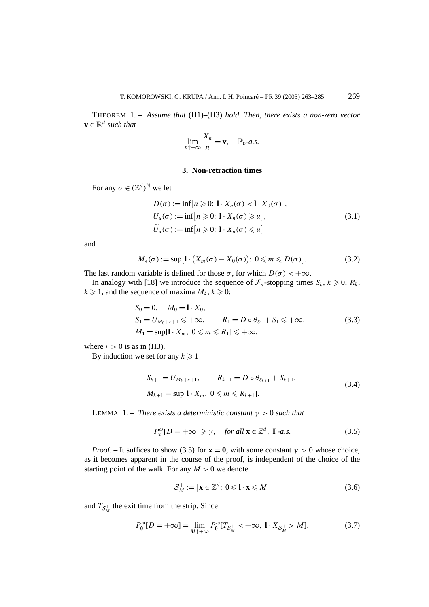THEOREM 1. – *Assume that* (H1)*–*(H3) *hold. Then, there exists a non-zero vector*  $\mathbf{v} \in \mathbb{R}^d$  *such that* 

$$
\lim_{n\uparrow+\infty}\frac{X_n}{n}=\mathbf{v},\quad\mathbb{P}_0\text{-}a.s.
$$

#### **3. Non-retraction times**

For any  $\sigma \in (\mathbb{Z}^d)^{\mathbb{N}}$  we let

$$
D(\sigma) := \inf [n \geqslant 0: 1 \cdot X_n(\sigma) < 1 \cdot X_0(\sigma)],
$$
\n
$$
U_u(\sigma) := \inf [n \geqslant 0: 1 \cdot X_n(\sigma) \geqslant u],
$$
\n
$$
\widetilde{U}_u(\sigma) := \inf [n \geqslant 0: 1 \cdot X_n(\sigma) \leqslant u]
$$
\n
$$
(3.1)
$$

and

$$
M_*(\sigma) := \sup [1 \cdot (X_m(\sigma) - X_0(\sigma)) \colon 0 \leq m \leq D(\sigma)]. \tag{3.2}
$$

The last random variable is defined for those  $\sigma$ , for which  $D(\sigma) < +\infty$ .

In analogy with [18] we introduce the sequence of  $\mathcal{F}_n$ -stopping times  $S_k$ ,  $k \geq 0$ ,  $R_k$ ,  $k \geq 1$ , and the sequence of maxima  $M_k$ ,  $k \geq 0$ :

$$
S_0 = 0, \quad M_0 = \mathbf{I} \cdot X_0,
$$
  
\n
$$
S_1 = U_{M_0 + r + 1} \leq +\infty, \qquad R_1 = D \circ \theta_{S_1} + S_1 \leq +\infty,
$$
  
\n
$$
M_1 = \sup[\mathbf{I} \cdot X_m, \ 0 \leq m \leq R_1] \leq +\infty,
$$
\n(3.3)

where  $r > 0$  is as in (H3).

By induction we set for any  $k \geq 1$ 

$$
S_{k+1} = U_{M_k + r + 1}, \qquad R_{k+1} = D \circ \theta_{S_{k+1}} + S_{k+1},
$$
  
\n
$$
M_{k+1} = \sup[\mathbf{l} \cdot X_m, \ 0 \le m \le R_{k+1}].
$$
\n(3.4)

LEMMA 1. – *There exists a deterministic constant γ >* 0 *such that*

$$
P_{\mathbf{x}}^{\omega}[D = +\infty] \ge \gamma, \quad \text{for all } \mathbf{x} \in \mathbb{Z}^d, \ \mathbb{P}\text{-}a.s. \tag{3.5}
$$

*Proof.* – It suffices to show (3.5) for  $\mathbf{x} = \mathbf{0}$ , with some constant  $\gamma > 0$  whose choice, as it becomes apparent in the course of the proof, is independent of the choice of the starting point of the walk. For any  $M > 0$  we denote

$$
\mathcal{S}_M^+ := \left[ \mathbf{x} \in \mathbb{Z}^d \colon 0 \leqslant \mathbf{l} \cdot \mathbf{x} \leqslant M \right] \tag{3.6}
$$

and  $T_{\mathcal{S}_{M}^{+}}$  the exit time from the strip. Since

$$
P_0^{\omega}[D = +\infty] = \lim_{M \uparrow +\infty} P_0^{\omega}[T_{S_M^+} < +\infty, 1 \cdot X_{S_M^+} > M]. \tag{3.7}
$$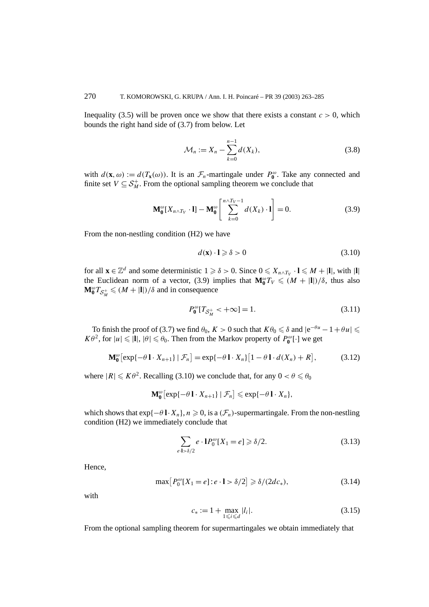Inequality (3.5) will be proven once we show that there exists a constant  $c > 0$ , which bounds the right hand side of (3.7) from below. Let

$$
\mathcal{M}_n := X_n - \sum_{k=0}^{n-1} d(X_k),
$$
\n(3.8)

with  $d(\mathbf{x}, \omega) := d(T_{\mathbf{x}}(\omega))$ . It is an  $\mathcal{F}_n$ -martingale under  $P_0^{\omega}$ . Take any connected and finite set  $V \subseteq S_M^+$ . From the optional sampling theorem we conclude that

$$
\mathbf{M}_{0}^{\omega}[X_{n\wedge T_{V}}\cdot\mathbf{l}] - \mathbf{M}_{0}^{\omega}\left[\sum_{k=0}^{n\wedge T_{V}-1}d(X_{k})\cdot\mathbf{l}\right] = 0.
$$
 (3.9)

From the non-nestling condition (H2) we have

$$
d(\mathbf{x}) \cdot \mathbf{l} \geqslant \delta > 0 \tag{3.10}
$$

for all  $\mathbf{x} \in \mathbb{Z}^d$  and some deterministic  $1 \geq \delta > 0$ . Since  $0 \leq X_{n \wedge T_V} \cdot \mathbf{l} \leq M + |\mathbf{l}|$ , with  $|\mathbf{l}|$ the Euclidean norm of a vector, (3.9) implies that  $M_0^{\omega}T_V \leq (M + |I|)/\delta$ , thus also  $\mathbf{M}_{0}^{\omega}T_{\mathcal{S}_{M}^{+}} \leq (M + |\mathbf{l}|)/\delta$  and in consequence

$$
P_0^{\omega}[T_{\mathcal{S}_M^+} < +\infty] = 1. \tag{3.11}
$$

To finish the proof of (3.7) we find  $\theta_0$ ,  $K > 0$  such that  $K\theta_0 \leq \delta$  and  $|e^{-\theta u} - 1 + \theta u| \leq$ *Kθ*<sup>2</sup>, for  $|u| \le |I|, |\theta| \le \theta_0$ . Then from the Markov property of  $P_0^{\omega}[\cdot]$  we get

$$
\mathbf{M}_{0}^{\omega} \left[ \exp\{-\theta \mathbf{1} \cdot X_{n+1}\} \mid \mathcal{F}_{n} \right] = \exp\{-\theta \mathbf{1} \cdot X_{n}\} \left[1 - \theta \mathbf{1} \cdot d(X_{n}) + R\right],\tag{3.12}
$$

where  $|R| \leqslant K\theta^2$ . Recalling (3.10) we conclude that, for any  $0 < \theta \leqslant \theta_0$ 

$$
\mathbf{M}_{\mathbf{0}}^{\omega} \big[ \exp\{-\theta \mathbf{1} \cdot X_{n+1}\} \mid \mathcal{F}_n \big] \leqslant \exp\{-\theta \mathbf{1} \cdot X_n\},\
$$

which shows that  $\exp{\{-\theta \mathbf{l} \cdot X_n\}}$ ,  $n \ge 0$ , is a  $(\mathcal{F}_n)$ -supermartingale. From the non-nestling condition (H2) we immediately conclude that

$$
\sum_{e \cdot 1 > \delta/2} e \cdot \mathbf{1} P_0^{\omega} [X_1 = e] \geq \delta/2. \tag{3.13}
$$

Hence,

$$
\max [P_0^{\omega}[X_1 = e] : e \cdot \mathbf{I} > \delta/2] \geq \delta/(2dc_*),\tag{3.14}
$$

with

$$
c_* := 1 + \max_{1 \le i \le d} |l_i|.
$$
\n(3.15)

From the optional sampling theorem for supermartingales we obtain immediately that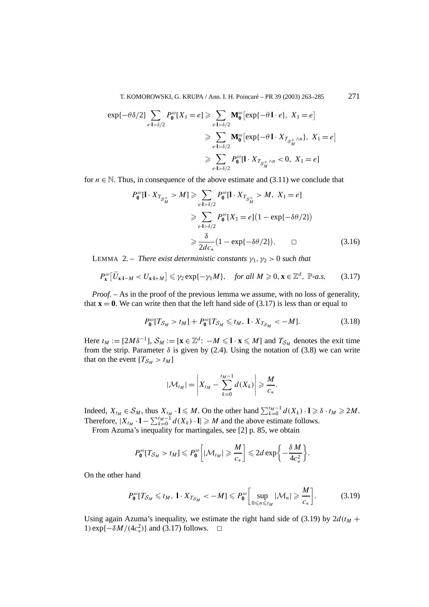T. KOMOROWSKI, G. KRUPA / Ann. I. H. Poincaré – PR 39 (2003) 263–285 271

$$
\exp\{-\theta \delta/2\} \sum_{e:1>\delta/2} P_0^{\omega}[X_1=e] \ge \sum_{e:1>\delta/2} \mathbf{M}_0^{\omega}[\exp\{-\theta \mathbf{1} \cdot e\}, X_1=e]
$$
  

$$
\ge \sum_{e:1>\delta/2} \mathbf{M}_0^{\omega}[\exp\{-\theta \mathbf{1} \cdot X_{T_{\mathcal{S}_M^+} \wedge n}\}, X_1=e]
$$
  

$$
\ge \sum_{e:1>\delta/2} P_0^{\omega}[\mathbf{1} \cdot X_{T_{\mathcal{S}_M^+} \wedge n} < 0, X_1=e]
$$

for  $n \in \mathbb{N}$ . Thus, in consequence of the above estimate and (3.11) we conclude that

$$
P_0^{\omega}[\mathbf{l} \cdot X_{T_{S_M^+}} > M] \geqslant \sum_{e:1 > \delta/2} P_0^{\omega}[\mathbf{l} \cdot X_{T_{S_M^+}} > M, X_1 = e]
$$
  
\n
$$
\geqslant \sum_{e:1 > \delta/2} P_0^{\omega}[X_1 = e] (1 - \exp\{-\delta\theta/2\})
$$
  
\n
$$
\geqslant \frac{\delta}{2dc_*} (1 - \exp\{-\delta\theta/2\}). \qquad \Box \tag{3.16}
$$

LEMMA 2. – *There exist deterministic constants*  $\gamma_1, \gamma_2 > 0$  *such that* 

$$
P_{\mathbf{x}}^{\omega} \left[ \widetilde{U}_{\mathbf{x}\cdot\mathbf{l}-M} < U_{\mathbf{x}\cdot\mathbf{l}+M} \right] \leqslant \gamma_2 \exp\{-\gamma_1 M\}, \quad \text{for all } M \geqslant 0, \mathbf{x} \in \mathbb{Z}^d, \ \mathbb{P}\text{-}a.s. \tag{3.17}
$$

*Proof.* – As in the proof of the previous lemma we assume, with no loss of generality, that  $\mathbf{x} = 0$ . We can write then that the left hand side of (3.17) is less than or equal to

$$
P_0^{\omega}[T_{S_M} > t_M] + P_0^{\omega}[T_{S_M} \le t_M, \ 1 \cdot X_{T_{S_M}} < -M]. \tag{3.18}
$$

Here  $t_M := [2M\delta^{-1}], \mathcal{S}_M := [\mathbf{x} \in \mathbb{Z}^d : -M \leqslant \mathbf{I} \cdot \mathbf{x} \leqslant M]$  and  $T_{\mathcal{S}_M}$  denotes the exit time from the strip. Parameter  $\delta$  is given by (2.4). Using the notation of (3.8) we can write that on the event  $[T_{\mathcal{S}_M} > t_M]$ 

$$
|\mathcal{M}_{t_M}| = \left| X_{t_M} - \sum_{k=0}^{t_M-1} d(X_k) \right| \geqslant \frac{M}{c_*}.
$$

Indeed,  $X_{t_M} \in S_M$ , thus  $X_{t_M} \cdot \mathbf{l} \leq M$ . On the other hand  $\sum_{k=0}^{t_M-1} d(X_k) \cdot \mathbf{l} \geq \delta \cdot t_M \geq 2M$ . Therefore,  $|X_{t_M} \cdot \mathbf{l} - \sum_{k=0}^{t_M - 1} d(X_k) \cdot \mathbf{l}| \ge M$  and the above estimate follows.

From Azuma's inequality for martingales, see [2] p. 85, we obtain

$$
P_0^{\omega}[T_{\mathcal{S}_M} > t_M] \leqslant P_0^{\omega}\bigg[|\mathcal{M}_{t_M}| \geqslant \frac{M}{c_*}\bigg] \leqslant 2d\exp\bigg\{-\frac{\delta M}{4c_*^2}\bigg\}.
$$

On the other hand

$$
P_0^{\omega}[T_{\mathcal{S}_M} \leq t_M, \ 1 \cdot X_{T_{\mathcal{S}_M}} < -M] \leq P_0^{\omega} \bigg[ \sup_{0 \leq n \leq t_M} |\mathcal{M}_n| \geq \frac{M}{c_*} \bigg]. \tag{3.19}
$$

Using again Azuma's inequality, we estimate the right hand side of (3.19) by  $2d(t_M +$ 1) exp $\{-\delta M/(4c_*^2)\}\$  and (3.17) follows.  $□$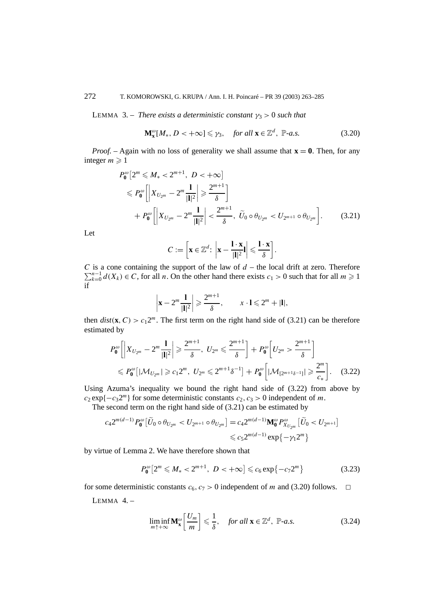LEMMA 3. – *There exists a deterministic constant*  $\gamma_3 > 0$  *such that* 

$$
\mathbf{M}_{\mathbf{x}}^{\omega}[M_*, D < +\infty] \leq \gamma_3, \quad \text{for all } \mathbf{x} \in \mathbb{Z}^d, \ \mathbb{P}\text{-}a.s. \tag{3.20}
$$

*Proof.* – Again with no loss of generality we shall assume that  $\mathbf{x} = \mathbf{0}$ . Then, for any integer  $m \geq 1$ 

$$
P_0^{\omega} \left[ 2^m \leq M_* < 2^{m+1}, \ D < +\infty \right]
$$
  
\n
$$
\leq P_0^{\omega} \left[ \left| X_{U_{2^m}} - 2^m \frac{1}{|\mathbf{l}|^2} \right| \geq \frac{2^{m+1}}{\delta} \right]
$$
  
\n
$$
+ P_0^{\omega} \left[ \left| X_{U_{2^m}} - 2^m \frac{1}{|\mathbf{l}|^2} \right| < \frac{2^{m+1}}{\delta}, \ \widetilde{U}_0 \circ \theta_{U_{2^m}} < U_{2^{m+1}} \circ \theta_{U_{2^m}} \right].
$$
 (3.21)

Let

$$
C := \left[ \mathbf{x} \in \mathbb{Z}^d \colon \left| \mathbf{x} - \frac{\mathbf{l} \cdot \mathbf{x}}{|\mathbf{l}|^2} \mathbf{l} \right| \leqslant \frac{\mathbf{l} \cdot \mathbf{x}}{\delta} \right].
$$

*C* is a cone containing the support of the law of *d* – the local drift at zero. Therefore  $\sum_{k=0}^{n-1} d(X_k) \in C$ , for all *n*. On the other hand there exists *c*<sub>1</sub> > 0 such that for all *m* ≥ 1 if

$$
\left|\mathbf{x} - 2^m \frac{1}{|\mathbf{l}|^2}\right| \geqslant \frac{2^{m+1}}{\delta}, \qquad x \cdot \mathbf{l} \leqslant 2^m + |\mathbf{l}|,
$$

then  $dist(\mathbf{x}, C) > c_1 2^m$ . The first term on the right hand side of (3.21) can be therefore estimated by

$$
P_0^{\omega}\left[\left|X_{U_{2^m}}-2^m\frac{1}{|1|^2}\right|\geqslant \frac{2^{m+1}}{\delta}, U_{2^m}\leqslant \frac{2^{m+1}}{\delta}\right]+P_0^{\omega}\left[U_{2^m}>\frac{2^{m+1}}{\delta}\right]
$$
  

$$
\leqslant P_0^{\omega}\left[\left|\mathcal{M}_{U_{2^m}}\right|\geqslant c_1 2^m, U_{2^m}\leqslant 2^{m+1}\delta^{-1}\right]+P_0^{\omega}\left[\left|\mathcal{M}_{[2^{m+1}\delta^{-1}]}\right|\geqslant \frac{2^m}{c_*}\right].
$$
 (3.22)

Using Azuma's inequality we bound the right hand side of (3.22) from above by  $c_2 \exp\{-c_3 2^m\}$  for some deterministic constants  $c_2, c_3 > 0$  independent of *m*.

The second term on the right hand side of (3.21) can be estimated by

$$
c_4 2^{m(d-1)} P_0^{\omega} [\widetilde{U}_0 \circ \theta_{U_{2^m}} < U_{2^{m+1}} \circ \theta_{U_{2^m}}] = c_4 2^{m(d-1)} \mathbf{M}_0^{\omega} P_{X_{U_{2^m}}}^{\omega} [\widetilde{U}_0 < U_{2^{m+1}}]
$$
  
\$\leq c\_5 2^{m(d-1)} \exp{-\gamma\_1 2^m}\$

by virtue of Lemma 2. We have therefore shown that

$$
P_0^{\omega}[2^m \leq M_* < 2^{m+1}, \ D < +\infty] \leq c_6 \exp\{-c_7 2^m\} \tag{3.23}
$$

for some deterministic constants  $c_6$ ,  $c_7 > 0$  independent of *m* and (3.20) follows.  $\Box$ 

 $LEMMA$  4. –

$$
\liminf_{m \uparrow +\infty} \mathbf{M}_{\mathbf{x}}^{\omega} \left[ \frac{U_m}{m} \right] \leq \frac{1}{\delta}, \quad \text{for all } \mathbf{x} \in \mathbb{Z}^d, \ \mathbb{P}\text{-}a.s. \tag{3.24}
$$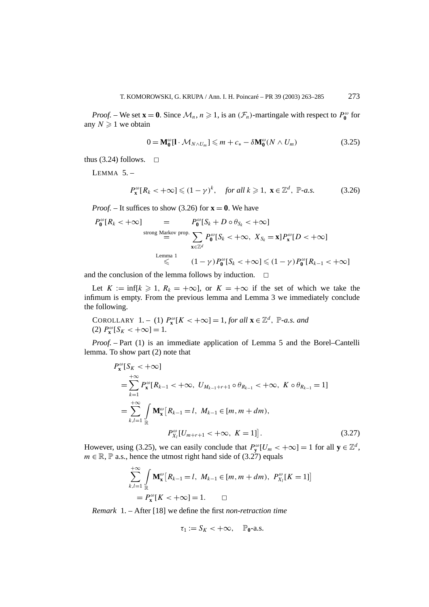*Proof.* – We set  $\mathbf{x} = \mathbf{0}$ . Since  $\mathcal{M}_n$ ,  $n \geq 1$ , is an  $(\mathcal{F}_n)$ -martingale with respect to  $P_0^{\omega}$  for any  $N \geq 1$  we obtain

$$
0 = \mathbf{M}_{0}^{\omega}[\mathbf{1} \cdot \mathcal{M}_{N \wedge U_{m}}] \leq m + c_{*} - \delta \mathbf{M}_{0}^{\omega}(N \wedge U_{m})
$$
\n(3.25)

thus  $(3.24)$  follows.  $\Box$ 

LEMMA  $5. -$ 

$$
P_{\mathbf{x}}^{\omega}[R_k < +\infty] \leq (1-\gamma)^k, \quad \text{for all } k \geqslant 1, \ \mathbf{x} \in \mathbb{Z}^d, \ \mathbb{P}\text{-}a.s. \tag{3.26}
$$

*Proof.* – It suffices to show (3.26) for  $\mathbf{x} = \mathbf{0}$ . We have

$$
P_0^{\omega}[R_k < +\infty] = P_0^{\omega}[S_k + D \circ \theta_{S_k} < +\infty]
$$
  
strong Markov prop. 
$$
\sum_{\mathbf{x} \in \mathbb{Z}^d} P_0^{\omega}[S_k < +\infty, X_{S_k} = \mathbf{x}] P_{\mathbf{x}}^{\omega}[D < +\infty]
$$
  
Lemma 1  

$$
\leq (1 - \gamma) P_0^{\omega}[S_k < +\infty] \leq (1 - \gamma) P_0^{\omega}[R_{k-1} < +\infty]
$$

and the conclusion of the lemma follows by induction.  $\Box$ 

Let  $K := \inf[k \geq 1, R_k = +\infty]$ , or  $K = +\infty$  if the set of which we take the infimum is empty. From the previous lemma and Lemma 3 we immediately conclude the following.

COROLLARY 1. – (1) 
$$
P_x^{\omega}[K < +\infty] = 1
$$
, for all  $\mathbf{x} \in \mathbb{Z}^d$ , P-a.s. and  
(2)  $P_x^{\omega}[S_K < +\infty] = 1$ .

*Proof. –* Part (1) is an immediate application of Lemma 5 and the Borel–Cantelli lemma. To show part (2) note that

$$
P_{\mathbf{x}}^{\omega}[S_K < +\infty]
$$
  
=  $\sum_{k=1}^{+\infty} P_{\mathbf{x}}^{\omega}[R_{k-1} < +\infty, U_{M_{k-1}+r+1} \circ \theta_{R_{k-1}} < +\infty, K \circ \theta_{R_{k-1}} = 1]$   
=  $\sum_{k,l=1}^{+\infty} \int_{\mathbb{R}} \mathbf{M}_{\mathbf{x}}^{\omega}[R_{k-1} = l, M_{k-1} \in [m, m + dm),$   
 $P_{X_l}^{\omega}[U_{m+r+1} < +\infty, K = 1]].$  (3.27)

However, using (3.25), we can easily conclude that  $P_{\mathbf{y}}^{\omega}[U_m < +\infty] = 1$  for all  $\mathbf{y} \in \mathbb{Z}^d$ ,  $m \in \mathbb{R}$ ,  $\mathbb{P}$  a.s., hence the utmost right hand side of (3.27) equals

$$
\sum_{k,l=1}^{+\infty} \int_{\mathbb{R}} \mathbf{M}_{\mathbf{x}}^{\omega} [R_{k-1} = l, M_{k-1} \in [m, m + dm), P_{X_l}^{\omega} [K = 1]]
$$
  
=  $P_{\mathbf{x}}^{\omega} [K < +\infty] = 1.$ 

*Remark* 1. – After [18] we define the first *non-retraction time*

+∞

$$
\tau_1 := S_K < +\infty, \quad \mathbb{P}_0\text{-a.s.}
$$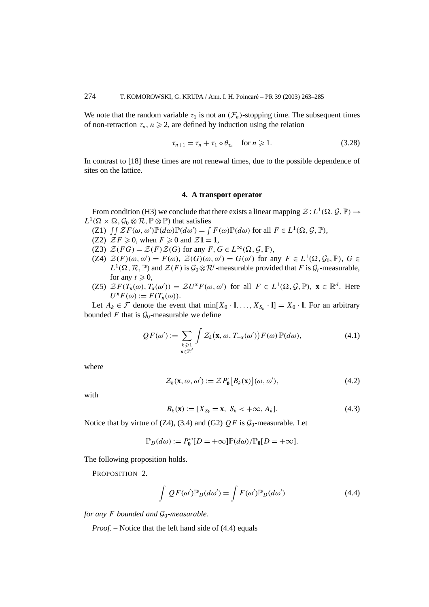We note that the random variable  $\tau_1$  is not an  $(\mathcal{F}_n)$ -stopping time. The subsequent times of non-retraction  $\tau_n$ ,  $n \geq 2$ , are defined by induction using the relation

$$
\tau_{n+1} = \tau_n + \tau_1 \circ \theta_{\tau_n} \quad \text{for } n \geqslant 1. \tag{3.28}
$$

In contrast to [18] these times are not renewal times, due to the possible dependence of sites on the lattice.

#### **4. A transport operator**

From condition (H3) we conclude that there exists a linear mapping  $\mathcal{Z}: L^1(\Omega, \mathcal{G}, \mathbb{P}) \to$  $L^1(\Omega \times \Omega, \mathcal{G}_0 \otimes \mathcal{R}, \mathbb{P} \otimes \mathbb{P})$  that satisfies

- $(L[2])$   $\iint ZF(\omega, \omega')\mathbb{P}(d\omega)\mathbb{P}(d\omega') = \iint F(\omega)\mathbb{P}(d\omega)$  for all  $F \in L^1(\Omega, \mathcal{G}, \mathbb{P}),$
- (Z2)  $\mathcal{Z}F \geq 0$ , when  $F \geq 0$  and  $\mathcal{Z}1 = 1$ ,
- (Z3)  $\mathcal{Z}(FG) = \mathcal{Z}(F)\mathcal{Z}(G)$  for any  $F, G \in L^{\infty}(\Omega, \mathcal{G}, \mathbb{P})$ ,
- $(Z4)$   $\mathcal{Z}(F)(\omega, \omega') = F(\omega), \mathcal{Z}(G)(\omega, \omega') = G(\omega')$  for any  $F \in L^1(\Omega, \mathcal{G}_0, \mathbb{P}), G \in$  $L^1(\Omega, \mathcal{R}, \mathbb{P})$  and  $\mathcal{Z}(F)$  is  $\mathcal{G}_0 \otimes \mathcal{R}^t$ -measurable provided that *F* is  $\mathcal{G}_t$ -measurable, for any  $t \geq 0$ ,
- $(Z5)$   $\mathcal{Z}F(T_{\mathbf{x}}(\omega), T_{\mathbf{x}}(\omega')) = \mathcal{Z}U^{\mathbf{x}}F(\omega, \omega')$  for all  $F \in L^1(\Omega, \mathcal{G}, \mathbb{P})$ ,  $\mathbf{x} \in \mathbb{R}^d$ . Here  $U^{\mathbf{x}}F(\omega) := F(T_{\mathbf{x}}(\omega)).$

Let  $A_k \in \mathcal{F}$  denote the event that  $\min[X_0 \cdot \mathbf{l}, \ldots, X_{S_k} \cdot \mathbf{l}] = X_0 \cdot \mathbf{l}$ . For an arbitrary bounded *F* that is  $\mathcal{G}_0$ -measurable we define

$$
QF(\omega') := \sum_{\substack{k \geq 1 \\ \mathbf{x} \in \mathbb{Z}^d}} \int \mathcal{Z}_k(\mathbf{x}, \omega, T_{-\mathbf{x}}(\omega')) F(\omega) \mathbb{P}(d\omega), \tag{4.1}
$$

where

$$
\mathcal{Z}_k(\mathbf{x}, \omega, \omega') := \mathcal{Z} P_0[B_k(\mathbf{x})](\omega, \omega'),\tag{4.2}
$$

with

$$
B_k(\mathbf{x}) := [X_{S_k} = \mathbf{x}, S_k < +\infty, A_k].
$$
\n(4.3)

Notice that by virtue of (Z4), (3.4) and (G2)  $QF$  is  $\mathcal{G}_0$ -measurable. Let

$$
\mathbb{P}_D(d\omega) := P_0^{\omega}[D = +\infty] \mathbb{P}(d\omega) / \mathbb{P}_0[D = +\infty].
$$

The following proposition holds.

PROPOSITION 2. -

$$
\int QF(\omega')\mathbb{P}_D(d\omega') = \int F(\omega')\mathbb{P}_D(d\omega')
$$
\n(4.4)

*for any*  $F$  *bounded and*  $\mathcal{G}_0$ *-measurable.* 

*Proof. –* Notice that the left hand side of (4.4) equals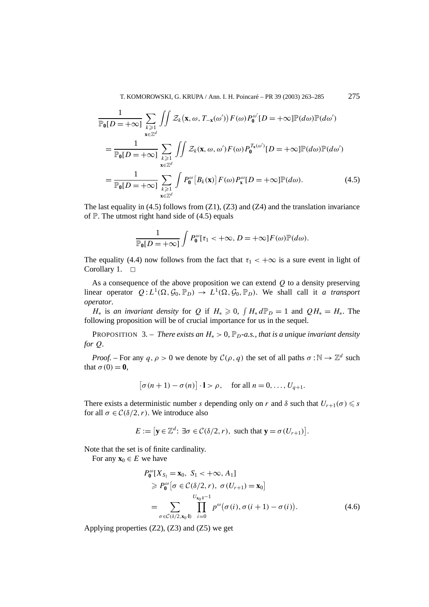T. KOMOROWSKI, G. KRUPA / Ann. I. H. Poincaré – PR 39 (2003) 263–285 275

$$
\frac{1}{\mathbb{P}_{\mathbf{0}}[D = +\infty]} \sum_{k \geq 1} \iint \mathcal{Z}_k(\mathbf{x}, \omega, T_{-\mathbf{x}}(\omega')) F(\omega) P_{\mathbf{0}}^{\omega'}[D = +\infty] \mathbb{P}(d\omega) \mathbb{P}(d\omega')
$$
\n
$$
= \frac{1}{\mathbb{P}_{\mathbf{0}}[D = +\infty]} \sum_{\mathbf{x} \in \mathbb{Z}^d} \iint \mathcal{Z}_k(\mathbf{x}, \omega, \omega') F(\omega) P_{\mathbf{0}}^{T_{\mathbf{x}}(\omega')}[D = +\infty] \mathbb{P}(d\omega) \mathbb{P}(d\omega')
$$
\n
$$
= \frac{1}{\mathbb{P}_{\mathbf{0}}[D = +\infty]} \sum_{\substack{k \geq 1 \\ \mathbf{x} \in \mathbb{Z}^d}} \int P_{\mathbf{0}}^{\omega}[B_k(\mathbf{x})] F(\omega) P_{\mathbf{x}}^{\omega}[D = +\infty] \mathbb{P}(d\omega). \tag{4.5}
$$

The last equality in  $(4.5)$  follows from  $(Z1)$ ,  $(Z3)$  and  $(Z4)$  and the translation invariance of  $\mathbb P$ . The utmost right hand side of (4.5) equals

$$
\frac{1}{\mathbb{P}_{\mathbf{0}}[D=+\infty]} \int P_{\mathbf{0}}^{\omega}[\tau_1 < +\infty, D=+\infty] F(\omega) \mathbb{P}(d\omega).
$$

The equality (4.4) now follows from the fact that  $\tau_1 < +\infty$  is a sure event in light of Corollary 1.  $\Box$ 

As a consequence of the above proposition we can extend *Q* to a density preserving linear operator  $Q: L^1(\Omega, \mathcal{G}_0, \mathbb{P}_D) \to L^1(\Omega, \mathcal{G}_0, \mathbb{P}_D)$ . We shall call it *a transport operator*.

*H*<sup>∗</sup> is *an invariant density* for *Q* if  $H_* \ge 0$ ,  $\int H_* dP_D = 1$  and  $QH_* = H_*$ . The following proposition will be of crucial importance for us in the sequel.

**PROPOSITION** 3. – *There exists an*  $H_* > 0$ ,  $\mathbb{P}_D$ -*a.s., that is a unique invariant density for Q.*

*Proof.* – For any  $q, \rho > 0$  we denote by  $C(\rho, q)$  the set of all paths  $\sigma : \mathbb{N} \to \mathbb{Z}^d$  such that  $\sigma(0) = 0$ ,

$$
[\sigma(n+1)-\sigma(n)]\cdot \mathbf{l} > \rho, \quad \text{for all } n = 0,\ldots, U_{q+1}.
$$

There exists a deterministic number *s* depending only on *r* and  $\delta$  such that  $U_{r+1}(\sigma) \leq s$ for all  $\sigma \in C(\delta/2, r)$ . We introduce also

$$
E := [\mathbf{y} \in \mathbb{Z}^d \colon \exists \sigma \in C(\delta/2, r), \text{ such that } \mathbf{y} = \sigma(U_{r+1})].
$$

Note that the set is of finite cardinality.

For any  $\mathbf{x}_0 \in E$  we have

$$
P_0^{\omega}[X_{S_1} = \mathbf{x}_0, S_1 < +\infty, A_1]
$$
  
\n
$$
\geq P_0^{\omega} [\sigma \in C(\delta/2, r), \sigma(U_{r+1}) = \mathbf{x}_0]
$$
  
\n
$$
= \sum_{\sigma \in C(\delta/2, \mathbf{x}_0, 1)} \prod_{i=0}^{U_{\mathbf{x}_0, 1} - 1} p^{\omega} (\sigma(i), \sigma(i+1) - \sigma(i)).
$$
 (4.6)

Applying properties  $(Z2)$ ,  $(Z3)$  and  $(Z5)$  we get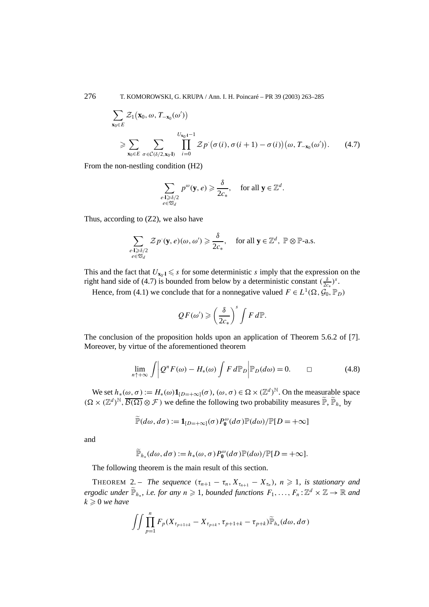276 T. KOMOROWSKI, G. KRUPA / Ann. I. H. Poincaré – PR 39 (2003) 263–285

$$
\sum_{\mathbf{x}_0 \in E} \mathcal{Z}_1(\mathbf{x}_0, \omega, T_{-\mathbf{x}_0}(\omega'))
$$
\n
$$
\geqslant \sum_{\mathbf{x}_0 \in E} \sum_{\sigma \in \mathcal{C}(\delta/2, \mathbf{x}_0, \mathbf{I})} \prod_{i=0}^{U_{\mathbf{x}_0, \mathbf{I}} - 1} \mathcal{Z} p^{\cdot}(\sigma(i), \sigma(i+1) - \sigma(i)) (\omega, T_{-\mathbf{x}_0}(\omega')). \tag{4.7}
$$

From the non-nestling condition (H2)

$$
\sum_{\substack{e:\mathbf{l}\geqslant\delta/2\\e\in\mathfrak{V}_d}}p^\omega(\mathbf{y},e)\geqslant\frac{\delta}{2c_*},\quad\text{ for all }\mathbf{y}\in\mathbb{Z}^d.
$$

Thus, according to (Z2), we also have

$$
\sum_{\substack{e:\mathbf{I}\geq\delta/2\\e\in\mathfrak{V}_d}}\mathcal{Z}p^\cdot(\mathbf{y},e)(\omega,\omega')\geqslant\frac{\delta}{2c_*},\quad\text{ for all }\mathbf{y}\in\mathbb{Z}^d,\ \mathbb{P}\otimes\mathbb{P}\text{-a.s.}
$$

This and the fact that  $U_{\mathbf{x}_0 \cdot \mathbf{l}} \leq s$  for some deterministic *s* imply that the expression on the right hand side of (4.7) is bounded from below by a deterministic constant  $(\frac{\delta}{2c_*})^s$ .

Hence, from (4.1) we conclude that for a nonnegative valued  $F \in L^1(\Omega, \mathcal{G}_0, \mathbb{P}_D)$ 

$$
QF(\omega') \geqslant \left(\frac{\delta}{2c_*}\right)^s \int F d\mathbb{P}.
$$

The conclusion of the proposition holds upon an application of Theorem 5.6.2 of [7]. Moreover, by virtue of the aforementioned theorem

$$
\lim_{n \uparrow +\infty} \int \left| \mathcal{Q}^n F(\omega) - H_*(\omega) \int F \, d\mathbb{P}_D \right| \mathbb{P}_D(d\omega) = 0. \qquad \Box \tag{4.8}
$$

We set  $h_*(\omega, \sigma) := H_*(\omega) \mathbf{1}_{[D=+\infty]}(\sigma)$ ,  $(\omega, \sigma) \in \Omega \times (\mathbb{Z}^d)^{\mathbb{N}}$ . On the measurable space  $(\Omega \times (\mathbb{Z}^d)^{\mathbb{N}}, \overline{\mathcal{B}(\Omega)} \otimes \mathcal{F})$  we define the following two probability measures  $\widetilde{\mathbb{P}}, \widetilde{\mathbb{P}}_{h_*}$  by

$$
\widetilde{\mathbb{P}}(d\omega, d\sigma) := \mathbf{1}_{[D=+\infty]}(\sigma) P_0^{\omega}(d\sigma) \mathbb{P}(d\omega) / \mathbb{P}[D = +\infty]
$$

and

$$
\widetilde{\mathbb{P}}_{h_*}(d\omega,d\sigma) := h_*(\omega,\sigma) P_0^{\omega}(d\sigma) \mathbb{P}(d\omega) / \mathbb{P}[D = +\infty].
$$

The following theorem is the main result of this section.

**THEOREM** 2. – *The sequence*  $(\tau_{n+1} - \tau_n, X_{\tau_{n+1}} - X_{\tau_n}), n \geq 1$ , is stationary and *ergodic under*  $\widetilde{\mathbb{P}}_{h_*}$  *<i>i.e. for any*  $n \geq 1$ *, bounded functions*  $F_1, \ldots, F_n : \mathbb{Z}^d \times \mathbb{Z} \to \mathbb{R}$  *and*  $k \geqslant 0$  *we have* 

$$
\iint \prod_{p=1}^n F_p(X_{\tau_{p+1+k}} - X_{\tau_{p+k}}, \tau_{p+1+k} - \tau_{p+k}) \widetilde{P}_{h_*}(d\omega, d\sigma)
$$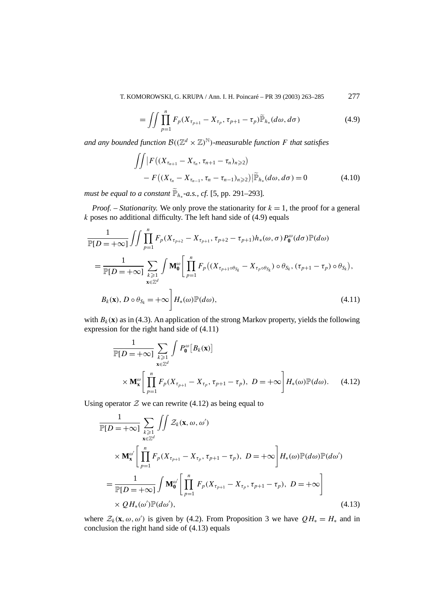T. KOMOROWSKI, G. KRUPA / Ann. I. H. Poincaré – PR 39 (2003) 263–285 277

$$
= \iint \prod_{p=1}^{n} F_p(X_{\tau_{p+1}} - X_{\tau_p}, \tau_{p+1} - \tau_p) \widetilde{\mathbb{P}}_{h_*}(d\omega, d\sigma) \tag{4.9}
$$

*and any bounded function*  $\mathcal{B}((\mathbb{Z}^d \times \mathbb{Z})^{\mathbb{N}})$ *-measurable function F that satisfies* 

$$
\iint \left| F\left( (X_{\tau_{n+1}} - X_{\tau_n}, \tau_{n+1} - \tau_n)_{n \geqslant 2} \right) \right|
$$
  
-  $F\left( (X_{\tau_n} - X_{\tau_{n-1}}, \tau_n - \tau_{n-1})_{n \geqslant 2} \right) \left| \widetilde{\mathbb{P}}_{h_*}(d\omega, d\sigma) \right| = 0$  (4.10)

*must be equal to a constant*  $\widetilde{P}_{h_*}$  *-a.s., cf.* [5, pp. 291–293].

*Proof. – Stationarity.* We only prove the stationarity for  $k = 1$ , the proof for a general *k* poses no additional difficulty. The left hand side of (4.9) equals

$$
\frac{1}{\mathbb{P}[D = +\infty]} \iint \prod_{p=1}^{n} F_p(X_{\tau_{p+2}} - X_{\tau_{p+1}}, \tau_{p+2} - \tau_{p+1}) h_*(\omega, \sigma) P_0^{\omega}(d\sigma) \mathbb{P}(d\omega)
$$
\n
$$
= \frac{1}{\mathbb{P}[D = +\infty]} \sum_{k \ge 1} \int \mathbf{M}_0^{\omega} \left[ \prod_{p=1}^{n} F_p((X_{\tau_{p+1} \circ \theta_{S_k}} - X_{\tau_p \circ \theta_{S_k}}) \circ \theta_{S_k}, (\tau_{p+1} - \tau_p) \circ \theta_{S_k}),
$$
\n
$$
B_k(\mathbf{x}), D \circ \theta_{S_k} = +\infty \right] H_*(\omega) \mathbb{P}(d\omega),
$$
\n(4.11)

with  $B_k(x)$  as in (4.3). An application of the strong Markov property, yields the following expression for the right hand side of (4.11)

$$
\frac{1}{\mathbb{P}[D = +\infty]} \sum_{\mathbf{x} \in \mathbb{Z}^d} \int P_0^{\omega} [B_k(\mathbf{x})]
$$
\n
$$
\times \mathbf{M}_{\mathbf{x}}^{\omega} \left[ \prod_{p=1}^n F_p(X_{\tau_{p+1}} - X_{\tau_p}, \tau_{p+1} - \tau_p), \ D = +\infty \right] H_*(\omega) \mathbb{P}(d\omega). \tag{4.12}
$$

Using operator  $\mathcal Z$  we can rewrite (4.12) as being equal to

$$
\frac{1}{\mathbb{P}[D = +\infty]} \sum_{\mathbf{x} \in \mathbb{Z}^d} \iint \mathcal{Z}_k(\mathbf{x}, \omega, \omega')
$$
\n
$$
\times \mathbf{M}_{\mathbf{x}}^{\omega'} \left[ \prod_{p=1}^n F_p(X_{\tau_{p+1}} - X_{\tau_p}, \tau_{p+1} - \tau_p), D = +\infty \right] H_*(\omega) \mathbb{P}(d\omega) \mathbb{P}(d\omega')
$$
\n
$$
= \frac{1}{\mathbb{P}[D = +\infty]} \int \mathbf{M}_{\mathbf{0}}^{\omega'} \left[ \prod_{p=1}^n F_p(X_{\tau_{p+1}} - X_{\tau_p}, \tau_{p+1} - \tau_p), D = +\infty \right]
$$
\n
$$
\times Q H_*(\omega') \mathbb{P}(d\omega'), \tag{4.13}
$$

where  $\mathcal{Z}_k(\mathbf{x}, \omega, \omega')$  is given by (4.2). From Proposition 3 we have  $QH_* = H_*$  and in conclusion the right hand side of (4.13) equals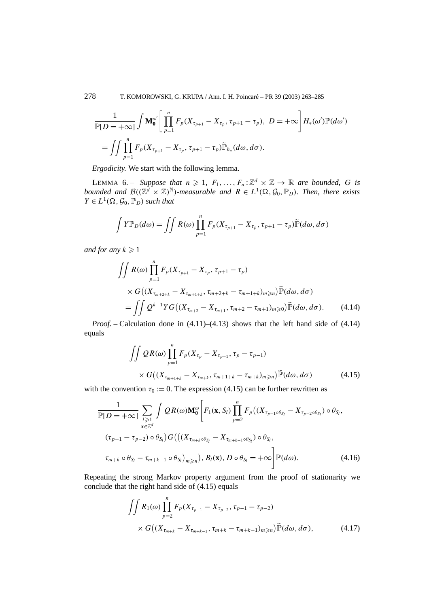$$
\frac{1}{\mathbb{P}[D=+\infty]} \int \mathbf{M}_{0}^{\omega'} \left[ \prod_{p=1}^{n} F_{p}(X_{\tau_{p+1}} - X_{\tau_{p}}, \tau_{p+1} - \tau_{p}), \ D=+\infty \right] H_{*}(\omega') \mathbb{P}(d\omega')
$$
\n
$$
= \iint \prod_{p=1}^{n} F_{p}(X_{\tau_{p+1}} - X_{\tau_{p}}, \tau_{p+1} - \tau_{p}) \widetilde{\mathbb{P}}_{h_{*}}(d\omega, d\sigma).
$$

*Ergodicity.* We start with the following lemma.

LEMMA 6. – *Suppose that*  $n \geq 1$ ,  $F_1, \ldots, F_n : \mathbb{Z}^d \times \mathbb{Z} \to \mathbb{R}$  *are bounded, G is bounded and*  $\mathcal{B}((\mathbb{Z}^{d} \times \mathbb{Z})^{N})$ *-measurable and*  $R \in L^{1}(\Omega, \mathcal{G}_{0}, \mathbb{P}_{D})$ *. Then, there exists*  $Y \in L^1(\Omega, \mathcal{G}_0, \mathbb{P}_D)$  *such that* 

$$
\int Y\mathbb{P}_D(d\omega) = \iint R(\omega) \prod_{p=1}^n F_p(X_{\tau_{p+1}} - X_{\tau_p}, \tau_{p+1} - \tau_p) \widetilde{\mathbb{P}}(d\omega, d\sigma)
$$

*and for any*  $k \geq 1$ 

$$
\iint_{p=1}^{n} R(\omega) \prod_{p=1}^{n} F_p(X_{\tau_{p+1}} - X_{\tau_p}, \tau_{p+1} - \tau_p)
$$
  
 
$$
\times G((X_{\tau_{m+2+k}} - X_{\tau_{m+1+k}}, \tau_{m+2+k} - \tau_{m+1+k})_{m \geqslant n}) \widetilde{P}(d\omega, d\sigma)
$$
  
= 
$$
\iint Q^{k-1} Y G((X_{\tau_{m+2}} - X_{\tau_{m+1}}, \tau_{m+2} - \tau_{m+1})_{m \geqslant 0}) \widetilde{P}(d\omega, d\sigma).
$$
 (4.14)

*Proof.* – Calculation done in  $(4.11)$ – $(4.13)$  shows that the left hand side of  $(4.14)$ equals

$$
\iint QR(\omega) \prod_{p=1}^{n} F_p(X_{\tau_p} - X_{\tau_{p-1}}, \tau_p - \tau_{p-1})
$$
  
 
$$
\times G\big((X_{\tau_{m+1+k}} - X_{\tau_{m+k}}, \tau_{m+1+k} - \tau_{m+k})_{m \geqslant n}\big) \widetilde{P}(d\omega, d\sigma) \tag{4.15}
$$

with the convention  $\tau_0 := 0$ . The expression (4.15) can be further rewritten as

$$
\frac{1}{\mathbb{P}[D = +\infty]} \sum_{l \geq 1} \int QR(\omega) \mathbf{M}_{0}^{\omega} \Bigg[ F_{1}(\mathbf{x}, S_{l}) \prod_{p=2}^{n} F_{p} \big( (X_{\tau_{p-1} \circ \theta_{S_{l}}} - X_{\tau_{p-2} \circ \theta_{S_{l}}} ) \circ \theta_{S_{l}},
$$
\n
$$
(\tau_{p-1} - \tau_{p-2}) \circ \theta_{S_{l}} \big) G \big( \big( (X_{\tau_{m+k} \circ \theta_{S_{l}}} - X_{\tau_{m+k-1} \circ \theta_{S_{l}}} ) \circ \theta_{S_{l}},
$$
\n
$$
\tau_{m+k} \circ \theta_{S_{l}} - \tau_{m+k-1} \circ \theta_{S_{l}} \big)_{m \geq n} \big), B_{l}(\mathbf{x}), D \circ \theta_{S_{l}} = +\infty \Bigg] \mathbb{P}(d\omega). \tag{4.16}
$$

Repeating the strong Markov property argument from the proof of stationarity we conclude that the right hand side of (4.15) equals

$$
\iint R_1(\omega) \prod_{p=2}^n F_p(X_{\tau_{p-1}} - X_{\tau_{p-2}}, \tau_{p-1} - \tau_{p-2})
$$
  
×  $G\big((X_{\tau_{m+k}} - X_{\tau_{m+k-1}}, \tau_{m+k} - \tau_{m+k-1})_{m \ge n}\big)\widetilde{P}(d\omega, d\sigma),$  (4.17)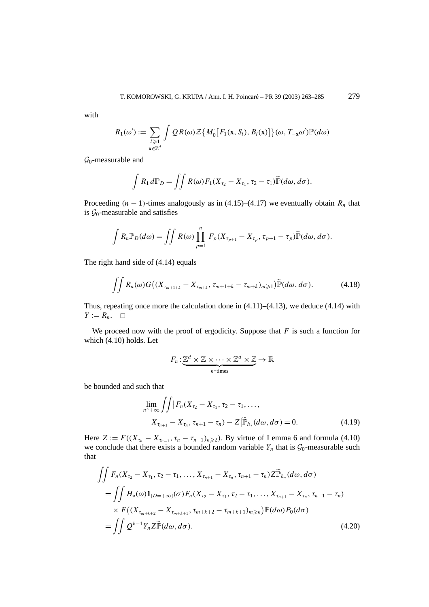with

$$
R_1(\omega') := \sum_{\substack{l \geq 1 \\ \mathbf{x} \in \mathbb{Z}^d}} \int QR(\omega) \mathcal{Z}\big\{M_0\big[F_1(\mathbf{x}, S_l), B_l(\mathbf{x})\big]\big\}(\omega, T_{-\mathbf{x}}\omega') \mathbb{P}(d\omega)
$$

 $G_0$ -measurable and

$$
\int R_1 d\mathbb{P}_D = \iint R(\omega) F_1(X_{\tau_2} - X_{\tau_1}, \tau_2 - \tau_1) \widetilde{\mathbb{P}}(d\omega, d\sigma).
$$

Proceeding  $(n - 1)$ -times analogously as in (4.15)–(4.17) we eventually obtain  $R_n$  that is  $\mathcal{G}_0$ -measurable and satisfies

$$
\int R_n \mathbb{P}_D(d\omega) = \iint R(\omega) \prod_{p=1}^n F_p(X_{\tau_{p+1}} - X_{\tau_p}, \tau_{p+1} - \tau_p) \widetilde{\mathbb{P}}(d\omega, d\sigma).
$$

The right hand side of  $(4.14)$  equals

$$
\iint R_n(\omega)G\big((X_{\tau_{m+1+k}}-X_{\tau_{m+k}},\tau_{m+1+k}-\tau_{m+k})_{m\geqslant 1}\big)\widetilde{\mathbb{P}}(d\omega,d\sigma). \hspace{1cm} (4.18)
$$

Thus, repeating once more the calculation done in  $(4.11)$ – $(4.13)$ , we deduce  $(4.14)$  with  $Y := R_n$ .  $\Box$ 

We proceed now with the proof of ergodicity. Suppose that *F* is such a function for which (4.10) holds. Let

$$
F_n: \underbrace{\mathbb{Z}^d \times \mathbb{Z} \times \cdots \times \mathbb{Z}^d \times \mathbb{Z}}_{n\text{-times}} \to \mathbb{R}
$$

be bounded and such that

$$
\lim_{n \uparrow +\infty} \iint \left| F_n(X_{\tau_2} - X_{\tau_1}, \tau_2 - \tau_1, \dots, \right. \nX_{\tau_{n+1}} - X_{\tau_n}, \tau_{n+1} - \tau_n) - Z \left| \widetilde{\mathbb{P}}_{h_*}(d\omega, d\sigma) \right| = 0.
$$
\n(4.19)

Here  $Z := F((X_{\tau_n} - X_{\tau_{n-1}}, \tau_n - \tau_{n-1})_{n \geq 2})$ . By virtue of Lemma 6 and formula (4.10) we conclude that there exists a bounded random variable  $Y_n$  that is  $\mathcal{G}_0$ -measurable such that

$$
\iint F_n(X_{\tau_2} - X_{\tau_1}, \tau_2 - \tau_1, \dots, X_{\tau_{n+1}} - X_{\tau_n}, \tau_{n+1} - \tau_n) Z \widetilde{\mathbb{P}}_{h_*}(d\omega, d\sigma)
$$
\n
$$
= \iint H_*(\omega) \mathbf{1}_{[D=+\infty]}(\sigma) F_n(X_{\tau_2} - X_{\tau_1}, \tau_2 - \tau_1, \dots, X_{\tau_{n+1}} - X_{\tau_n}, \tau_{n+1} - \tau_n)
$$
\n
$$
\times F((X_{\tau_{m+k+2}} - X_{\tau_{m+k+1}}, \tau_{m+k+2} - \tau_{m+k+1})_{m \ge n}) \mathbb{P}(d\omega) P_0(d\sigma)
$$
\n
$$
= \iint Q^{k-1} Y_n Z \widetilde{\mathbb{P}}(d\omega, d\sigma).
$$
\n(4.20)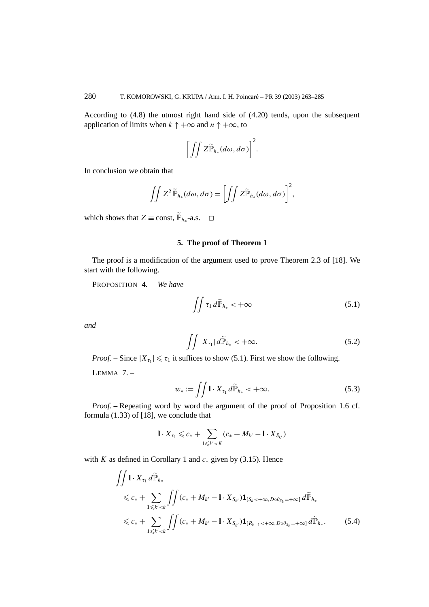According to (4.8) the utmost right hand side of (4.20) tends, upon the subsequent application of limits when  $k \uparrow +\infty$  and  $n \uparrow +\infty$ , to

$$
\bigg[\iint Z\widetilde{\mathbb{P}}_{h_*}(d\omega,d\sigma)\bigg]^2.
$$

In conclusion we obtain that

$$
\iint Z^2 \widetilde{\mathbb{P}}_{h_*}(d\omega,d\sigma) = \left[ \iint Z \widetilde{\mathbb{P}}_{h_*}(d\omega,d\sigma) \right]^2,
$$

which shows that  $Z \equiv \text{const}, \widetilde{P}_{h_*}$ -a.s.  $\Box$ 

#### **5. The proof of Theorem 1**

The proof is a modification of the argument used to prove Theorem 2.3 of [18]. We start with the following.

PROPOSITION 4. – *We have*

$$
\iint \tau_1 d\widetilde{\mathbb{P}}_{h_*} < +\infty \tag{5.1}
$$

*and*

$$
\iint |X_{\tau_1}| \, d\widetilde{\mathbb{P}}_{h_*} < +\infty. \tag{5.2}
$$

*Proof.* – Since  $|X_{\tau_1}| \le \tau_1$  it suffices to show (5.1). First we show the following.

LEMMA 7. –

$$
w_* := \iint \mathbf{1} \cdot X_{\tau_1} d\widetilde{\mathbb{P}}_{h_*} < +\infty.
$$
 (5.3)

*Proof.* – Repeating word by word the argument of the proof of Proposition 1.6 cf. formula (1.33) of [18], we conclude that

$$
\mathbf{l} \cdot X_{\tau_1} \leqslant c_* + \sum_{1 \leqslant k' < K} (c_* + M_{k'} - \mathbf{l} \cdot X_{S_{k'}})
$$

with *K* as defined in Corollary 1 and  $c_*$  given by (3.15). Hence

$$
\iint \mathbf{1} \cdot X_{\tau_1} d\widetilde{\mathbb{P}}_{h_*}
$$
\n
$$
\leq c_* + \sum_{1 \leq k' < k} \iint (c_* + M_{k'} - \mathbf{1} \cdot X_{S_{k'}}) \mathbf{1}_{[S_k < +\infty, D \circ \theta_{S_k} = +\infty]} d\widetilde{\mathbb{P}}_{h_*}
$$
\n
$$
\leq c_* + \sum_{1 \leq k' < k} \iint (c_* + M_{k'} - \mathbf{1} \cdot X_{S_{k'}}) \mathbf{1}_{[R_{k-1} < +\infty, D \circ \theta_{S_k} = +\infty]} d\widetilde{\mathbb{P}}_{h_*}. \tag{5.4}
$$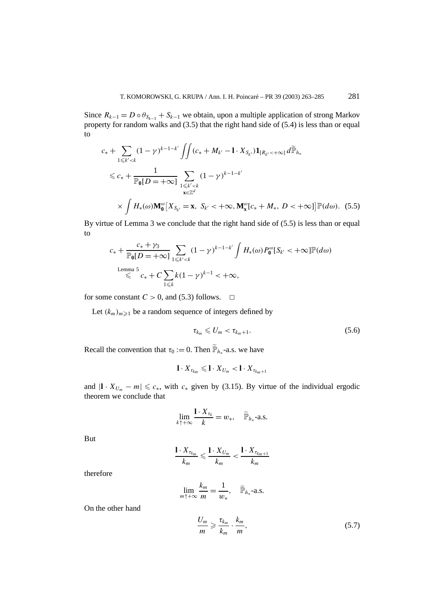Since  $R_{k-1} = D \circ \theta_{S_{k-1}} + S_{k-1}$  we obtain, upon a multiple application of strong Markov property for random walks and (3.5) that the right hand side of (5.4) is less than or equal to

$$
c_{*} + \sum_{1 \leq k' < k} (1 - \gamma)^{k - 1 - k'} \iint (c_{*} + M_{k'} - 1 \cdot X_{S_{k'}}) \mathbf{1}_{[R_{k'} < +\infty]} d\widetilde{\mathbb{P}}_{h_{*}}
$$
\n
$$
\leq c_{*} + \frac{1}{\mathbb{P}_{0}[D = +\infty]} \sum_{\substack{1 \leq k' < k \\ \mathbf{x} \in \mathbb{Z}^{d}}} (1 - \gamma)^{k - 1 - k'}
$$
\n
$$
\times \int H_{*}(\omega) \mathbf{M}_{0}^{\omega} [X_{S_{k'}} = \mathbf{x}, \ S_{k'} < +\infty, \mathbf{M}_{\mathbf{x}}^{\omega} [c_{*} + M_{*}, D < +\infty]] \mathbb{P}(d\omega). \tag{5.5}
$$

By virtue of Lemma 3 we conclude that the right hand side of (5.5) is less than or equal to

$$
c_* + \frac{c_* + \gamma_3}{\mathbb{P}_0[D = +\infty]} \sum_{1 \le k' < k} (1 - \gamma)^{k-1-k'} \int H_*(\omega) P_0^{\omega}[S_{k'} < +\infty] \mathbb{P}(d\omega)
$$
\n
$$
\leq C_* + C \sum_{1 \le k} k (1 - \gamma)^{k-1} < +\infty,
$$

for some constant  $C > 0$ , and (5.3) follows.  $\Box$ 

Let  $(k_m)_{m \geq 1}$  be a random sequence of integers defined by

$$
\tau_{k_m} \leqslant U_m < \tau_{k_m+1}.\tag{5.6}
$$

Recall the convention that  $\tau_0 := 0$ . Then  $\widetilde{P}_{h_*}$ -a.s. we have

$$
\mathbf{l}\cdot X_{\tau_{k_m}}\leqslant \mathbf{l}\cdot X_{U_m}<\mathbf{l}\cdot X_{\tau_{k_m+1}}
$$

and  $|\mathbf{l} \cdot X_{U_m} - m| \leq c_*$ , with  $c_*$  given by (3.15). By virtue of the individual ergodic theorem we conclude that

$$
\lim_{k\uparrow+\infty}\frac{\mathbf{l}\cdot X_{\tau_k}}{k}=w_*,\quad \widetilde{\mathbb{P}}_{h_*}\text{-a.s.}
$$

But

$$
\frac{\mathbf{l} \cdot X_{\tau_{k_m}}}{k_m} \leqslant \frac{\mathbf{l} \cdot X_{U_m}}{k_m} < \frac{\mathbf{l} \cdot X_{\tau_{k_m+1}}}{k_m}
$$

therefore

$$
\lim_{m \uparrow +\infty} \frac{k_m}{m} = \frac{1}{w_*}, \quad \widetilde{\mathbb{P}}_{h_*} \text{-a.s.}
$$

On the other hand

$$
\frac{U_m}{m} \geqslant \frac{\tau_{k_m}}{k_m} \cdot \frac{k_m}{m},\tag{5.7}
$$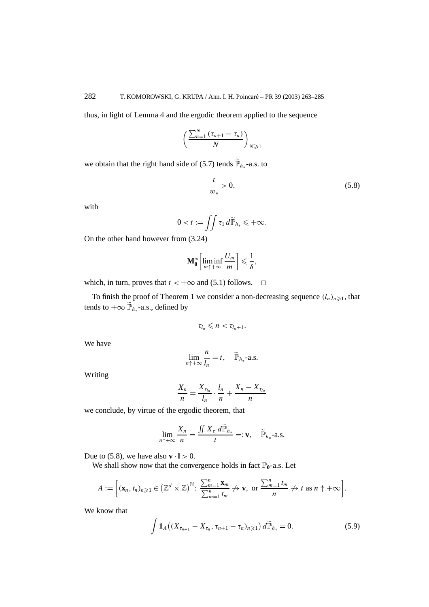thus, in light of Lemma 4 and the ergodic theorem applied to the sequence

$$
\left(\frac{\sum_{n=1}^{N}\left(\tau_{n+1}-\tau_n\right)}{N}\right)_{N\geqslant 1}
$$

we obtain that the right hand side of (5.7) tends  $\widetilde{P}_{h_*}$ -a.s. to

$$
\frac{t}{w_*} > 0,\tag{5.8}
$$

with

$$
0 < t := \iint \tau_1 d\widetilde{\mathbb{P}}_{h_*} \leqslant +\infty.
$$

On the other hand however from (3.24)

$$
\mathbf{M}_{\mathbf{0}}^{\omega}\bigg[\liminf_{m\uparrow+\infty}\frac{U_m}{m}\bigg] \leqslant \frac{1}{\delta},
$$

which, in turn, proves that  $t < +\infty$  and (5.1) follows.  $\Box$ 

To finish the proof of Theorem 1 we consider a non-decreasing sequence  $(l_n)_{n\geq 1}$ , that tends to  $+\infty \widetilde{P}_{h_*}-a.s.,$  defined by

$$
\tau_{l_n}\leqslant n<\tau_{l_n+1}.
$$

We have

$$
\lim_{n\uparrow+\infty}\frac{n}{l_n}=t,\quad \widetilde{\mathbb{P}}_{h_*}\text{-a.s.}
$$

Writing

$$
\frac{X_n}{n} = \frac{X_{\tau_{l_n}}}{l_n} \cdot \frac{l_n}{n} + \frac{X_n - X_{\tau_{l_n}}}{n}
$$

we conclude, by virtue of the ergodic theorem, that

$$
\lim_{n\uparrow+\infty}\frac{X_n}{n}=\frac{\iint X_{\tau_1}d\widetilde{\mathbb{P}}_{h_*}}{t}=:\mathbf{v},\quad \widetilde{\mathbb{P}}_{h_*}\text{-a.s.}
$$

Due to (5.8), we have also  $\mathbf{v} \cdot \mathbf{l} > 0$ .

We shall show now that the convergence holds in fact  $\mathbb{P}_0$ -a.s. Let

$$
A:=\left[(\mathbf{x}_n,t_n)_{n\geqslant 1}\in\left(\mathbb{Z}^d\times\mathbb{Z}\right)^{\mathbb{N}}:\ \frac{\sum_{m=1}^n\mathbf{x}_m}{\sum_{m=1}^n t_m}\not\to\mathbf{v},\text{ or }\frac{\sum_{m=1}^n t_m}{n}\not\to t\text{ as }n\uparrow+\infty\right].
$$

We know that

$$
\int \mathbf{1}_A \big( (X_{\tau_{n+1}} - X_{\tau_n}, \tau_{n+1} - \tau_n)_{n \geqslant 1} \big) \, d\widetilde{\mathbb{P}}_{h_*} = 0. \tag{5.9}
$$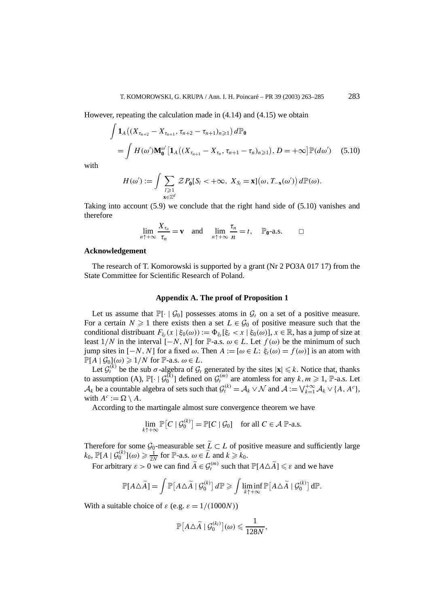However, repeating the calculation made in (4.14) and (4.15) we obtain

$$
\int \mathbf{1}_A \left( (X_{\tau_{n+2}} - X_{\tau_{n+1}}, \tau_{n+2} - \tau_{n+1})_{n \ge 1} \right) d\mathbb{P}_0
$$
\n
$$
= \int H(\omega') \mathbf{M}_0^{\omega'} \left[ \mathbf{1}_A \left( (X_{\tau_{n+1}} - X_{\tau_n}, \tau_{n+1} - \tau_n)_{n \ge 1} \right), D = +\infty \right] \mathbb{P}(d\omega') \quad (5.10)
$$

with

$$
H(\omega') := \int \sum_{\substack{l \geq 1 \\ \mathbf{x} \in \mathbb{Z}^d}} \mathcal{Z} P_{\mathbf{0}}[S_l < +\infty, \ X_{S_l} = \mathbf{x}](\omega, T_{-\mathbf{x}}(\omega')) \, d\mathbb{P}(\omega).
$$

Taking into account (5.9) we conclude that the right hand side of (5.10) vanishes and therefore

$$
\lim_{n\uparrow+\infty}\frac{X_{\tau_n}}{\tau_n}=\mathbf{v}\quad\text{and}\quad\lim_{n\uparrow+\infty}\frac{\tau_n}{n}=t,\quad\mathbb{P}_0\text{-a.s.}\qquad\Box
$$

#### **Acknowledgement**

The research of T. Komorowski is supported by a grant (Nr 2 PO3A 017 17) from the State Committee for Scientific Research of Poland.

#### **Appendix A. The proof of Proposition 1**

Let us assume that  $\mathbb{P}[\cdot | \mathcal{G}_0]$  possesses atoms in  $\mathcal{G}_t$  on a set of a positive measure. For a certain  $N \geq 1$  there exists then a set  $L \in \mathcal{G}_0$  of positive measure such that the conditional distribuant  $F_{\xi_t}(x | \xi_0(\omega)) := \Phi_{\xi_t}[\xi_t < x | \xi_0(\omega)]$ ,  $x \in \mathbb{R}$ , has a jump of size at least  $1/N$  in the interval  $[-N, N]$  for  $\mathbb{P}\text{-a.s. } \omega \in L$ . Let  $f(\omega)$  be the minimum of such jump sites in [−*N,N*] for a fixed *ω*. Then *A* := [*ω* ∈ *L*: *ξt(ω)* = *f (ω)*] is an atom with  $\mathbb{P}[A \mid \mathcal{G}_0](\omega) \geq 1/N$  for  $\mathbb{P}\text{-a.s. } \omega \in L$ .

Let  $\mathcal{G}_t^{(k)}$  be the sub  $\sigma$ -algebra of  $\mathcal{G}_t$  generated by the sites  $|\mathbf{x}| \leq k$ . Notice that, thanks to assumption (A),  $\mathbb{P}[\cdot | \mathcal{G}_0^{(k)}]$  defined on  $\mathcal{G}_t^{(m)}$  are atomless for any  $k, m \ge 1$ ,  $\mathbb{P}$ -a.s. Let  $\mathcal{A}_k$  be a countable algebra of sets such that  $\mathcal{G}_t^{(k)} = \mathcal{A}_k \vee \mathcal{N}$  and  $\mathcal{A} := \bigvee_{k=1}^{+\infty} \mathcal{A}_k \vee \{A, A^c\},$ with  $A^c := \Omega \setminus A$ .

According to the martingale almost sure convergence theorem we have

$$
\lim_{k \uparrow +\infty} \mathbb{P}\big[C \mid \mathcal{G}_0^{(k)}\big] = \mathbb{P}\big[C \mid \mathcal{G}_0\big] \quad \text{for all } C \in \mathcal{A} \; \mathbb{P}\text{-a.s.}
$$

Therefore for some  $\mathcal{G}_0$ -measurable set  $\tilde{L} \subset L$  of positive measure and sufficiently large  $k_0$ ,  $\mathbb{P}[A \mid \mathcal{G}_0^{(k)}](\omega) \ge \frac{1}{2N}$  for  $\mathbb{P}\text{-a.s.} \omega \in \widetilde{L}$  and  $k \ge k_0$ .

For arbitrary  $\varepsilon > 0$  we can find  $\widetilde{A} \in \mathcal{G}_t^{(m)}$  such that  $\mathbb{P}[A \triangle \widetilde{A}] \leq \varepsilon$  and we have

$$
\mathbb{P}[A\triangle \widetilde{A}] = \int \mathbb{P}[A\triangle \widetilde{A} | \mathcal{G}_0^{(k)}] d\mathbb{P} \geqslant \int \liminf_{k\uparrow+\infty} \mathbb{P}[A\triangle \widetilde{A} | \mathcal{G}_0^{(k)}] d\mathbb{P}.
$$

With a suitable choice of  $\varepsilon$  (e.g.  $\varepsilon = 1/(1000N)$ )

$$
\mathbb{P}\big[A\,\triangle \widetilde{A} \mid \mathcal{G}_0^{(k_l)}\big](\omega) \leqslant \frac{1}{128N},
$$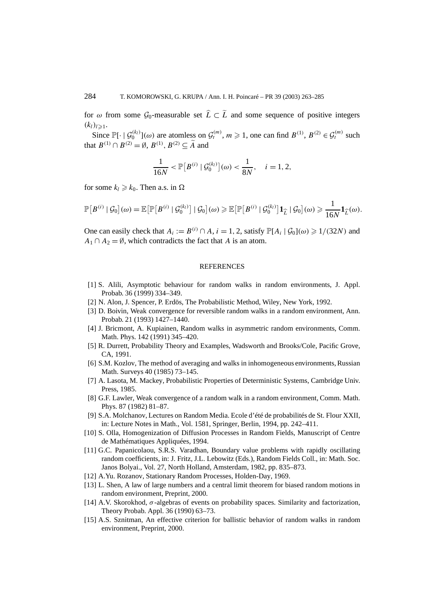for  $\omega$  from some  $\mathcal{G}_0$ -measurable set  $\hat{L} \subset \tilde{L}$  and some sequence of positive integers  $(k_l)_{l\geq 1}$ .

Since  $\mathbb{P}[\cdot | \mathcal{G}_0^{(k_l)}](\omega)$  are atomless on  $\mathcal{G}_t^{(m)}$ ,  $m \ge 1$ , one can find  $B^{(1)}$ ,  $B^{(2)} \in \mathcal{G}_t^{(m)}$  such that *B*<sup>(1)</sup> ∩ *B*<sup>(2)</sup> = Ø, *B*<sup>(1)</sup>, *B*<sup>(2)</sup> ⊆  $\widetilde{A}$  and

$$
\frac{1}{16N} < \mathbb{P}\big[B^{(i)} \mid \mathcal{G}_0^{(k_l)}\big](\omega) < \frac{1}{8N}, \quad i = 1, 2,
$$

for some  $k_l \geq k_0$ . Then a.s. in  $\Omega$ 

$$
\mathbb{P}\big[B^{(i)}\mid \mathcal{G}_0\big](\omega) = \mathbb{E}\big[\mathbb{P}\big[B^{(i)}\mid \mathcal{G}_0^{(k_l)}\big]\mid \mathcal{G}_0\big](\omega) \geqslant \mathbb{E}\big[\mathbb{P}\big[B^{(i)}\mid \mathcal{G}_0^{(k_l)}\big]\mathbf{1}_{\widehat{L}}\mid \mathcal{G}_0\big](\omega) \geqslant \frac{1}{16N}\mathbf{1}_{\widehat{L}}(\omega).
$$

One can easily check that  $A_i := B^{(i)} \cap A$ ,  $i = 1, 2$ , satisfy  $\mathbb{P}[A_i | \mathcal{G}_0](\omega) \ge 1/(32N)$  and  $A_1 \cap A_2 = \emptyset$ , which contradicts the fact that *A* is an atom.

#### **REFERENCES**

- [1] S. Alili, Asymptotic behaviour for random walks in random environments, J. Appl. Probab. 36 (1999) 334–349.
- [2] N. Alon, J. Spencer, P. Erdös, The Probabilistic Method, Wiley, New York, 1992.
- [3] D. Boivin, Weak convergence for reversible random walks in a random environment, Ann. Probab. 21 (1993) 1427–1440.
- [4] J. Bricmont, A. Kupiainen, Random walks in asymmetric random environments, Comm. Math. Phys. 142 (1991) 345–420.
- [5] R. Durrett, Probability Theory and Examples, Wadsworth and Brooks/Cole, Pacific Grove, CA, 1991.
- [6] S.M. Kozlov, The method of averaging and walks in inhomogeneous environments, Russian Math. Surveys 40 (1985) 73–145.
- [7] A. Lasota, M. Mackey, Probabilistic Properties of Deterministic Systems, Cambridge Univ. Press, 1985.
- [8] G.F. Lawler, Weak convergence of a random walk in a random environment, Comm. Math. Phys. 87 (1982) 81–87.
- [9] S.A. Molchanov, Lectures on Random Media. Ecole d'été de probabilités de St. Flour XXII, in: Lecture Notes in Math., Vol. 1581, Springer, Berlin, 1994, pp. 242–411.
- [10] S. Olla, Homogenization of Diffusion Processes in Random Fields, Manuscript of Centre de Mathématiques Appliquées, 1994.
- [11] G.C. Papanicolaou, S.R.S. Varadhan, Boundary value problems with rapidly oscillating random coefficients, in: J. Fritz, J.L. Lebowitz (Eds.), Random Fields Coll., in: Math. Soc. Janos Bolyai., Vol. 27, North Holland, Amsterdam, 1982, pp. 835–873.
- [12] A.Yu. Rozanov, Stationary Random Processes, Holden-Day, 1969.
- [13] L. Shen, A law of large numbers and a central limit theorem for biased random motions in random environment, Preprint, 2000.
- [14] A.V. Skorokhod,  $\sigma$ -algebras of events on probability spaces. Similarity and factorization, Theory Probab. Appl. 36 (1990) 63–73.
- [15] A.S. Sznitman, An effective criterion for ballistic behavior of random walks in random environment, Preprint, 2000.